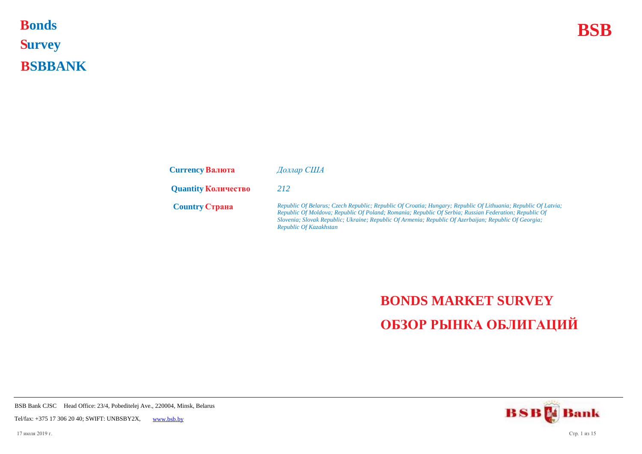**Bonds BSB S urvey B SBBANK Bonds** 

| <b>Currency Валюта</b>     | Доллар США                                                                                                                                                                                                                                                                                                                                                |
|----------------------------|-----------------------------------------------------------------------------------------------------------------------------------------------------------------------------------------------------------------------------------------------------------------------------------------------------------------------------------------------------------|
| <b>Quantity Количество</b> | 212                                                                                                                                                                                                                                                                                                                                                       |
| <b>Country CTPAHA</b>      | Republic Of Belarus; Czech Republic; Republic Of Croatia; Hungary; Republic Of Lithuania; Republic Of Latvia;<br>Republic Of Moldova; Republic Of Poland; Romania; Republic Of Serbia; Russian Federation; Republic Of<br>Slovenia; Slovak Republic; Ukraine; Republic Of Armenia; Republic Of Azerbaijan; Republic Of Georgia;<br>Republic Of Kazakhstan |

## **BONDS MARKET SURVEY ОБЗОР РЫНКА ОБЛИГАЦИЙ**

**BSBM** Bank

BSB Bank CJSC Head Office: 23/4, Pobeditelej Ave., 220004, Minsk, Belarus

Tel/fax: +375 17 306 20 40; SWIFT: UNBSBY2X, [www.bsb.by](https://www.bsb.by/)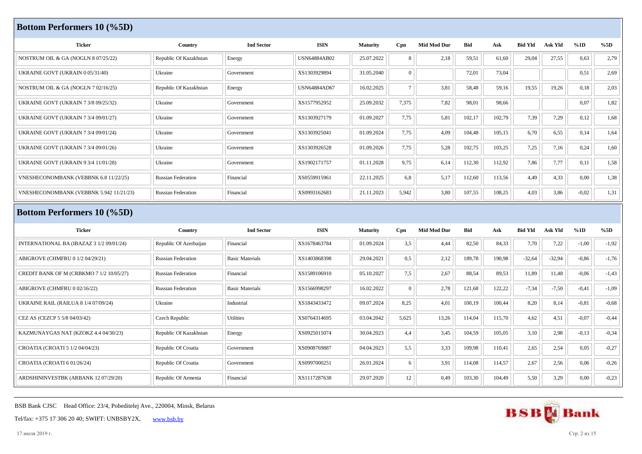| <b>Bottom Performers 10 (%5D)</b>           |                           |                        |                     |                 |                 |                    |            |        |                |          |         |         |
|---------------------------------------------|---------------------------|------------------------|---------------------|-----------------|-----------------|--------------------|------------|--------|----------------|----------|---------|---------|
| <b>Ticker</b>                               | Country                   | <b>Ind Sector</b>      | <b>ISIN</b>         | Maturity        | Cpn             | <b>Mid Mod Dur</b> | <b>Bid</b> | Ask    | <b>Bid Yld</b> | Ask Yld  | %1D     | %5D     |
| NOSTRUM OIL & GA (NOGLN 8 07/25/22)         | Republic Of Kazakhstan    | Energy                 | <b>USN64884AB02</b> | 25.07.2022      | 8               | 2,18               | 59,51      | 61,60  | 29,04          | 27,55    | 0,63    | 2,79    |
| UKRAINE GOVT (UKRAIN 0 05/31/40)            | Ukraine                   | Government             | XS1303929894        | 31.05.2040      | $\vert 0 \vert$ |                    | 72,01      | 73,04  |                |          | 0,51    | 2,69    |
| NOSTRUM OIL & GA (NOGLN 7 02/16/25)         | Republic Of Kazakhstan    | Energy                 | USN64884AD67        | 16.02.2025      | $7\overline{ }$ | 3,81               | 58,48      | 59,16  | 19,55          | 19,26    | 0,18    | 2,03    |
| <b>UKRAINE GOVT (UKRAIN 7 3/8 09/25/32)</b> | Ukraine                   | Government             | XS1577952952        | 25.09.2032      | 7,375           | 7,82               | 98,01      | 98,66  |                |          | 0,07    | 1,82    |
| <b>UKRAINE GOVT (UKRAIN 7 3/4 09/01/27)</b> | Ukraine                   | Government             | XS1303927179        | 01.09.2027      | 7,75            | 5,81               | 102,17     | 102,79 | 7,39           | 7,29     | 0,12    | 1,68    |
| UKRAINE GOVT (UKRAIN 7 3/4 09/01/24)        | Ukraine                   | Government             | XS1303925041        | 01.09.2024      | 7,75            | 4,09               | 104,48     | 105,15 | 6,70           | 6,55     | 0,14    | 1,64    |
| <b>UKRAINE GOVT (UKRAIN 7 3/4 09/01/26)</b> | Ukraine                   | Government             | XS1303926528        | 01.09.2026      | 7,75            | 5,28               | 102,75     | 103,25 | 7,25           | 7,16     | 0,24    | 1,60    |
| UKRAINE GOVT (UKRAIN 9 3/4 11/01/28)        | Ukraine                   | Government             | XS1902171757        | 01.11.2028      | 9,75            | 6,14               | 112,30     | 112,92 | 7,86           | 7,77     | 0,11    | 1,58    |
| VNESHECONOMBANK (VEBBNK 6.8 11/22/25)       | <b>Russian Federation</b> | Financial              | XS0559915961        | 22.11.2025      | 6,8             | 5,17               | 112,60     | 113,56 | 4,49           | 4,33     | 0,00    | 1,38    |
| VNESHECONOMBANK (VEBBNK 5.942 11/21/23)     | <b>Russian Federation</b> | Financial              | XS0993162683        | 21.11.2023      | 5,942           | 3,80               | 107,55     | 108,25 | 4,03           | 3,86     | $-0.02$ | 1,31    |
| <b>Bottom Performers 10 (%5D)</b>           |                           |                        |                     |                 |                 |                    |            |        |                |          |         |         |
| <b>Ticker</b>                               | Country                   | <b>Ind Sector</b>      | <b>ISIN</b>         | <b>Maturity</b> | Cpn             | <b>Mid Mod Dur</b> | <b>Bid</b> | Ask    | <b>Bid Yld</b> | Ask Yld  | %1D     | %5D     |
| INTERNATIONAL BA (IBAZAZ 3 1/2 09/01/24)    | Republic Of Azerbaijan    | Financial              | XS1678463784        | 01.09.2024      | 3,5             | 4,44               |            |        |                |          |         |         |
| ABIGROVE (CHMFRU 0 1/2 04/29/21)            | <b>Russian Federation</b> |                        |                     |                 |                 |                    | 82,50      | 84,33  | 7,70           | 7,22     | $-1,00$ | $-1,92$ |
|                                             |                           | <b>Basic Materials</b> | XS1403868398        | 29.04.2021      | 0,5             | 2,12               | 189,78     | 190,98 | $-32,64$       | $-32,94$ | $-0,86$ | $-1,76$ |
| CREDIT BANK OF M (CRBKMO 7 1/2 10/05/27)    | <b>Russian Federation</b> | Financial              | XS1589106910        | 05.10.2027      | 7,5             | 2,67               | 88,54      | 89,53  | 11,89          | 11,48    | $-0,06$ | $-1,43$ |
| ABIGROVE (CHMFRU 0 02/16/22)                | <b>Russian Federation</b> | <b>Basic Materials</b> | XS1566998297        | 16.02.2022      | $\vert 0 \vert$ | 2,78               | 121,68     | 122,22 | $-7,34$        | $-7,50$  | $-0.41$ | $-1,09$ |
| UKRAINE RAIL (RAILUA 8 1/4 07/09/24)        | Ukraine                   | Industrial             | XS1843433472        | 09.07.2024      | 8,25            | 4,01               | 100,19     | 100,44 | 8,20           | 8,14     | $-0,81$ | $-0,68$ |
| CEZ AS (CEZCP 5 5/8 04/03/42)               | Czech Republic            | Utilities              | XS0764314695        | 03.04.2042      | 5,625           | 13,26              | 114,04     | 115,70 | 4,62           | 4,51     | $-0,07$ | $-0,44$ |
| KAZMUNAYGAS NAT (KZOKZ 4.4 04/30/23)        | Republic Of Kazakhstan    | Energy                 | XS0925015074        | 30.04.2023      | 4,4             | 3,45               | 104,59     | 105,05 | 3,10           | 2,98     | $-0,13$ | $-0,34$ |
| CROATIA (CROATI 5 1/2 04/04/23)             | Republic Of Croatia       | Government             | XS0908769887        | 04.04.2023      | 5,5             | 3,33               | 109,98     | 110,41 | 2,65           | 2,54     | 0,05    | $-0,27$ |

ARDSHININVESTBK (ARBANK 12 07/29/20) Republic Of Armenia Financial Financial XS1117287638 29.07.2020 12 0,49 103,30 104,49 5,50 3,29 0,00 -0,23

BSB Bank CJSC Head Office: 23/4, Pobeditelej Ave., 220004, Minsk, Belarus



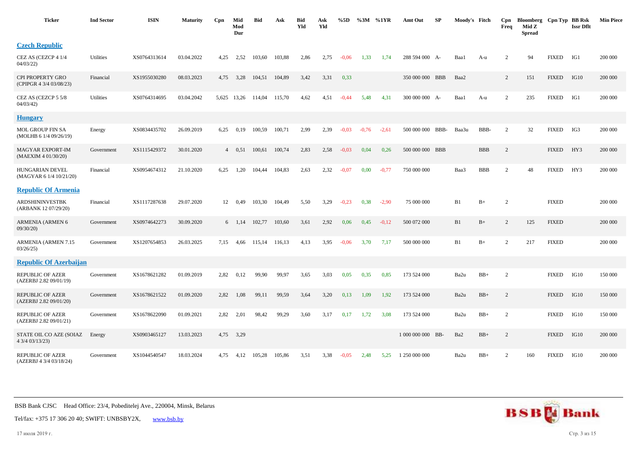| <b>Ticker</b>                                      | <b>Ind Sector</b> | <b>ISIN</b>  | <b>Maturity</b> | Cpn            | Mid<br>Mod<br>Dur  | <b>Bid</b> | Ask    | <b>Bid</b><br>Yld | Ask<br>Yld | %5D     | %3M     | %1YR    | Amt Out           | SP | Moody's Fitch |            | Cpn<br>Freq    | Bloomberg Cpn Typ BB Rsk<br>Mid Z<br><b>Spread</b> |              | <b>Issr Dflt</b> | <b>Min Piece</b> |
|----------------------------------------------------|-------------------|--------------|-----------------|----------------|--------------------|------------|--------|-------------------|------------|---------|---------|---------|-------------------|----|---------------|------------|----------------|----------------------------------------------------|--------------|------------------|------------------|
| <b>Czech Republic</b>                              |                   |              |                 |                |                    |            |        |                   |            |         |         |         |                   |    |               |            |                |                                                    |              |                  |                  |
| CEZ AS (CEZCP 4 1/4<br>04/03/22                    | Utilities         | XS0764313614 | 03.04.2022      | 4,25           | 2,52               | 103,60     | 103,88 | 2,86              | 2,75       | $-0.06$ | 1,33    | 1,74    | 288 594 000 A-    |    | Baa1          | A-u        | $\overline{c}$ | 94                                                 | <b>FIXED</b> | IG1              | 200 000          |
| CPI PROPERTY GRO<br>(CPIPGR 4 3/4 03/08/23)        | Financial         | XS1955030280 | 08.03.2023      | 4,75           | 3,28               | 104,51     | 104,89 | 3,42              | 3,31       | 0,33    |         |         | 350 000 000 BBB   |    | Baa2          |            | $\overline{2}$ | 151                                                | <b>FIXED</b> | IG10             | 200 000          |
| CEZ AS (CEZCP 5 5/8<br>04/03/42                    | Utilities         | XS0764314695 | 03.04.2042      |                | 5,625 13,26 114,04 |            | 115,70 | 4,62              | 4,51       | $-0,44$ | 5,48    | 4,31    | 300 000 000 A-    |    | Baa1          | A-u        | $\overline{c}$ | 235                                                | <b>FIXED</b> | IG1              | 200 000          |
| <b>Hungary</b>                                     |                   |              |                 |                |                    |            |        |                   |            |         |         |         |                   |    |               |            |                |                                                    |              |                  |                  |
| MOL GROUP FIN SA<br>(MOLHB 6 1/4 09/26/19)         | Energy            | XS0834435702 | 26.09.2019      | 6,25           | 0,19               | 100,59     | 100,71 | 2,99              | 2,39       | $-0.03$ | $-0,76$ | $-2,61$ | 500 000 000 BBB-  |    | Baa3u         | BBB-       | 2              | 32                                                 | <b>FIXED</b> | IG3              | 200 000          |
| <b>MAGYAR EXPORT-IM</b><br>(MAEXIM 4 01/30/20)     | Government        | XS1115429372 | 30.01.2020      | $\overline{4}$ | 0.51               | 100,61     | 100,74 | 2,83              | 2,58       | $-0.03$ | 0,04    | 0,26    | 500 000 000 BBB   |    |               | <b>BBB</b> | $\overline{c}$ |                                                    | <b>FIXED</b> | HY3              | 200 000          |
| <b>HUNGARIAN DEVEL</b><br>(MAGYAR 6 1/4 10/21/20)  | Financial         | XS0954674312 | 21.10.2020      | 6,25           | 1,20               | 104,44     | 104,83 | 2,63              | 2,32       | $-0,07$ | 0,00    | $-0,77$ | 750 000 000       |    | Baa3          | <b>BBB</b> | $\overline{2}$ | 48                                                 | <b>FIXED</b> | HY3              | 200 000          |
| <b>Republic Of Armenia</b>                         |                   |              |                 |                |                    |            |        |                   |            |         |         |         |                   |    |               |            |                |                                                    |              |                  |                  |
| <b>ARDSHININVESTBK</b><br>(ARBANK 12 07/29/20)     | Financial         | XS1117287638 | 29.07.2020      | 12             | 0,49               | 103,30     | 104,49 | 5,50              | 3,29       | $-0,23$ | 0,38    | $-2,90$ | 75 000 000        |    | B1            | $B+$       | $\overline{c}$ |                                                    | <b>FIXED</b> |                  | 200 000          |
| ARMENIA (ARMEN 6<br>09/30/20                       | Government        | XS0974642273 | 30.09.2020      |                | $6 \quad 1,14$     | 102,77     | 103,60 | 3,61              | 2,92       | 0,06    | 0,45    | $-0,12$ | 500 072 000       |    | B1            | $B+$       | $\overline{c}$ | 125                                                | <b>FIXED</b> |                  | 200 000          |
| <b>ARMENIA (ARMEN 7.15</b><br>03/26/25             | Government        | XS1207654853 | 26.03.2025      | 7,15           | 4,66               | 115,14     | 116,13 | 4,13              | 3,95       | $-0,06$ | 3,70    | 7,17    | 500 000 000       |    | B1            | $B+$       | $\overline{c}$ | 217                                                | <b>FIXED</b> |                  | 200 000          |
| <b>Republic Of Azerbaijan</b>                      |                   |              |                 |                |                    |            |        |                   |            |         |         |         |                   |    |               |            |                |                                                    |              |                  |                  |
| <b>REPUBLIC OF AZER</b><br>(AZERBJ 2.82 09/01/19)  | Government        | XS1678621282 | 01.09.2019      | 2,82           | 0,12               | 99,90      | 99,97  | 3,65              | 3,03       | 0,05    | 0,35    | 0.85    | 173 524 000       |    | Ba2u          | $BB+$      | $\overline{2}$ |                                                    | <b>FIXED</b> | IG10             | 150 000          |
| REPUBLIC OF AZER<br>(AZERBJ 2.82 09/01/20)         | Government        | XS1678621522 | 01.09.2020      | 2,82           | 1,08               | 99.11      | 99,59  | 3,64              | 3,20       | 0,13    | 1,09    | 1,92    | 173 524 000       |    | Ba2u          | $BB+$      | $\overline{c}$ |                                                    | <b>FIXED</b> | IG10             | 150 000          |
| REPUBLIC OF AZER<br>(AZERBJ 2.82 09/01/21)         | Government        | XS1678622090 | 01.09.2021      | 2,82           | 2,01               | 98,42      | 99,29  | 3,60              | 3,17       | 0,17    | 1,72    | 3,08    | 173 524 000       |    | Ba2u          | $BB+$      | $\overline{2}$ |                                                    | <b>FIXED</b> | IG10             | 150 000          |
| STATE OIL CO AZE (SOIAZ<br>4 3/4 03/13/23)         | Energy            | XS0903465127 | 13.03.2023      |                | 4,75 3,29          |            |        |                   |            |         |         |         | 1 000 000 000 BB- |    | Ba2           | $BB+$      | 2              |                                                    | <b>FIXED</b> | IG10             | 200 000          |
| <b>REPUBLIC OF AZER</b><br>(AZERBJ 4 3/4 03/18/24) | Government        | XS1044540547 | 18.03.2024      | 4,75           | 4,12               | 105,28     | 105,86 | 3,51              | 3,38       | $-0.05$ | 2,48    | 5,25    | 1 250 000 000     |    | Ba2u          | $BB+$      | $\overline{2}$ | 160                                                | <b>FIXED</b> | IG10             | 200 000          |



Tel/fax: +375 17 306 20 40; SWIFT: UNBSBY2X, [www.bsb.by](https://www.bsb.by/)

17 июля 2019 г. Стр. 3 из 15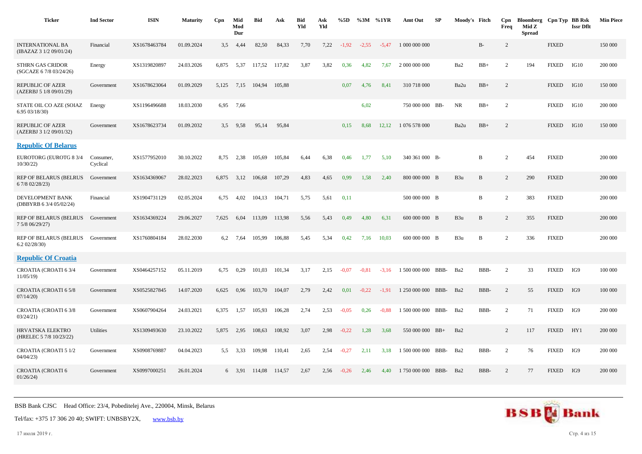| <b>Ticker</b>                                        | <b>Ind Sector</b>     | <b>ISIN</b>  | <b>Maturity</b> | Cpn   | Mid<br>Mod<br>Dur | <b>Bid</b> | Ask    | <b>Bid</b><br>Yld | Ask<br>Yld | %5D     | %3M %1YR |         | Amt Out            | SP   | Moody's Fitch   |              | Cpn<br>Freq    | Bloomberg Cpn Typ BB Rsk<br>Mid Z<br><b>Spread</b> |               | <b>Issr Dflt</b> | <b>Min Piece</b> |
|------------------------------------------------------|-----------------------|--------------|-----------------|-------|-------------------|------------|--------|-------------------|------------|---------|----------|---------|--------------------|------|-----------------|--------------|----------------|----------------------------------------------------|---------------|------------------|------------------|
| <b>INTERNATIONAL BA</b><br>(IBAZAZ 3 1/2 09/01/24)   | Financial             | XS1678463784 | 01.09.2024      | 3.5   | 4.44              | 82,50      | 84,33  | 7.70              | 7,22       | $-1,92$ | $-2,55$  | $-5.47$ | 1 000 000 000      |      |                 | $B-$         | $\overline{c}$ |                                                    | <b>FIXED</b>  |                  | 150 000          |
| STHRN GAS CRIDOR<br>(SGCAZE 6 7/8 03/24/26)          | Energy                | XS1319820897 | 24.03.2026      | 6,875 | 5,37              | 117,52     | 117,82 | 3,87              | 3,82       | 0,36    | 4,82     | 7,67    | 2 000 000 000      |      | Ba2             | $BB+$        | $\overline{2}$ | 194                                                | <b>FIXED</b>  | IG10             | 200 000          |
| <b>REPUBLIC OF AZER</b><br>(AZERBJ 5 1/8 09/01/29)   | Government            | XS1678623064 | 01.09.2029      | 5.125 | 7,15              | 104,94     | 105,88 |                   |            | 0,07    | 4,76     | 8,41    | 310 718 000        |      | Ba2u            | $BB+$        | $\overline{2}$ |                                                    | <b>FIXED</b>  | IG10             | 150 000          |
| STATE OIL CO AZE (SOIAZ<br>6.95 03/18/30)            | Energy                | XS1196496688 | 18.03.2030      | 6,95  | 7,66              |            |        |                   |            |         | 6,02     |         | 750 000 000 BB-    |      | <b>NR</b>       | $BB+$        | $\overline{2}$ |                                                    | <b>FIXED</b>  | IG10             | 200 000          |
| <b>REPUBLIC OF AZER</b><br>(AZERBJ 3 1/2 09/01/32)   | Government            | XS1678623734 | 01.09.2032      | 3,5   | 9,58              | 95,14      | 95,84  |                   |            | 0,15    | 8,68     | 12,12   | 1 076 578 000      |      | Ba2u            | $BB+$        | $\overline{2}$ |                                                    | <b>FIXED</b>  | IG10             | 150 000          |
| <b>Republic Of Belarus</b>                           |                       |              |                 |       |                   |            |        |                   |            |         |          |         |                    |      |                 |              |                |                                                    |               |                  |                  |
| EUROTORG (EUROTG 8 3/4<br>10/30/22                   | Consumer,<br>Cyclical | XS1577952010 | 30.10.2022      | 8,75  | 2,38              | 105.69     | 105,84 | 6,44              | 6,38       | 0,46    | 1.77     | 5.10    | 340 361 000 B-     |      |                 | B            | $\overline{2}$ | 454                                                | <b>FIXED</b>  |                  | 200 000          |
| REP OF BELARUS (BELRUS<br>6 7/8 02/28/23)            | Government            | XS1634369067 | 28.02.2023      | 6,875 | 3,12              | 106,68     | 107,29 | 4,83              | 4,65       | 0,99    | 1,58     | 2,40    | 800 000 000 B      |      | B <sub>3u</sub> | B            | 2              | 290                                                | <b>FIXED</b>  |                  | 200 000          |
| DEVELOPMENT BANK<br>(DBBYRB 6 3/4 05/02/24)          | Financial             | XS1904731129 | 02.05.2024      | 6,75  | 4,02              | 104,13     | 104,71 | 5,75              | 5,61       | 0,11    |          |         | 500 000 000 B      |      |                 | B            | $\overline{2}$ | 383                                                | <b>FIXED</b>  |                  | 200 000          |
| REP OF BELARUS (BELRUS Government<br>7 5/8 06/29/27) |                       | XS1634369224 | 29.06.2027      | 7,625 | 6,04              | 113,09     | 113,98 | 5,56              | 5,43       | 0,49    | 4,80     | 6,31    | 600 000 000 B      |      | B3u             | B            | $\overline{c}$ | 355                                                | <b>FIXED</b>  |                  | 200 000          |
| REP OF BELARUS (BELRUS Government<br>6.202/28/30     |                       | XS1760804184 | 28.02.2030      | 6,2   | 7,64              | 105,99     | 106,88 | 5,45              | 5,34       | 0,42    | 7,16     | 10,03   | 600 000 000 B      |      | B3u             | $\, {\bf B}$ | $\overline{2}$ | 336                                                | ${\rm FIXED}$ |                  | 200 000          |
| <b>Republic Of Croatia</b>                           |                       |              |                 |       |                   |            |        |                   |            |         |          |         |                    |      |                 |              |                |                                                    |               |                  |                  |
| CROATIA (CROATI 63/4<br>11/05/19                     | Government            | XS0464257152 | 05.11.2019      | 6,75  | 0,29              | 101,03     | 101,34 | 3,17              | 2,15       | $-0.07$ | $-0.81$  | $-3,16$ | 1 500 000 000      | BBB- | Ba2             | BBB-         | $\overline{2}$ | 33                                                 | <b>FIXED</b>  | IG9              | 100 000          |
| CROATIA (CROATI 65/8<br>07/14/20                     | Government            | XS0525827845 | 14.07.2020      | 6,625 | 0,96              | 103,70     | 104,07 | 2,79              | 2,42       | 0,01    | $-0,22$  | $-1,91$ | 1 250 000 000      | BBB- | Ba2             | BBB-         | 2              | 55                                                 | <b>FIXED</b>  | IG9              | 100 000          |
| CROATIA (CROATI 6 3/8<br>03/24/21                    | Government            | XS0607904264 | 24.03.2021      | 6,375 | 1,57              | 105,93     | 106,28 | 2,74              | 2,53       | $-0.05$ | 0,26     | $-0.88$ | 1 500 000 000 BBB- |      | Ba2             | BBB-         | $\overline{2}$ | 71                                                 | <b>FIXED</b>  | IG9              | 200 000          |
| HRVATSKA ELEKTRO<br>(HRELEC 5 7/8 10/23/22)          | Utilities             | XS1309493630 | 23.10.2022      | 5,875 | 2,95              | 108,63     | 108,92 | 3,07              | 2,98       | $-0,22$ | 1,28     | 3,68    | 550 000 000 BB+    |      | Ba2             |              | $\overline{c}$ | 117                                                | <b>FIXED</b>  | HY1              | 200 000          |
| <b>CROATIA (CROATI 5 1/2</b><br>04/04/23             | Government            | XS0908769887 | 04.04.2023      | 5,5   | 3,33              | 109,98     | 110,41 | 2,65              | 2,54       | $-0,27$ | 2,11     | 3,18    | 1 500 000 000 BBB- |      | Ba2             | BBB-         | $\overline{2}$ | 76                                                 | <b>FIXED</b>  | IG9              | 200 000          |
| CROATIA (CROATI 6<br>01/26/24                        | Government            | XS0997000251 | 26.01.2024      |       | 6 3.91            | 114.08     | 114,57 | 2.67              | 2,56       | $-0,26$ | 2.46     | 4.40    | 1750 000 000 BBB-  |      | Ba2             | BBB-         | 2              | 77                                                 | <b>FIXED</b>  | IG9              | 200 000          |

Tel/fax: +375 17 306 20 40; SWIFT: UNBSBY2X, [www.bsb.by](https://www.bsb.by/)

17 июля 2019 г. Стр. 4 из 15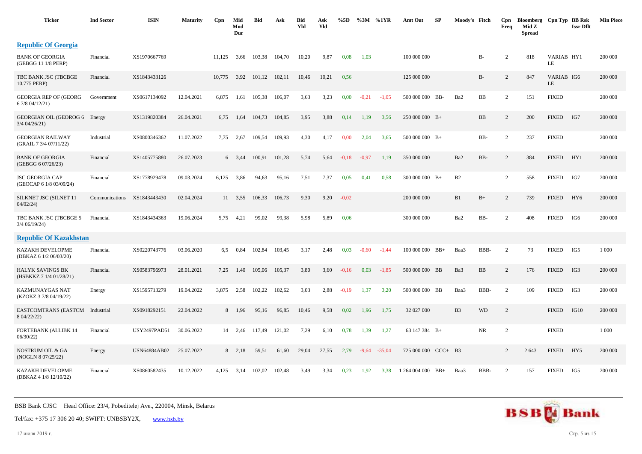| <b>Ticker</b>                                     | <b>Ind Sector</b> | <b>ISIN</b>         | <b>Maturity</b> | Cpn    | Mid<br>Mod<br>Dur | <b>Bid</b> | Ask    | <b>Bid</b><br>Yld | Ask<br>Yld | %5D     | %3M     | %1YR     | Amt Out             | SP    | Moody's Fitch  |           | Cpn<br>Freq    | Bloomberg<br>Mid Z<br><b>Spread</b> | Cpn Typ BB Rsk   | <b>Issr Dflt</b> | <b>Min Piece</b> |
|---------------------------------------------------|-------------------|---------------------|-----------------|--------|-------------------|------------|--------|-------------------|------------|---------|---------|----------|---------------------|-------|----------------|-----------|----------------|-------------------------------------|------------------|------------------|------------------|
| <b>Republic Of Georgia</b>                        |                   |                     |                 |        |                   |            |        |                   |            |         |         |          |                     |       |                |           |                |                                     |                  |                  |                  |
| <b>BANK OF GEORGIA</b><br>(GEBGG 11 1/8 PERP)     | Financial         | XS1970667769        |                 | 11.125 | 3,66              | 103,38     | 104,70 | 10,20             | 9,87       | 0,08    | 1,03    |          | 100 000 000         |       |                | $B-$      | 2              | 818                                 | VARIAB HY1<br>LE |                  | 200 000          |
| TBC BANK JSC (TBCBGE<br>10.775 PERP)              | Financial         | XS1843433126        |                 | 10,775 | 3,92              | 101,12     | 102,11 | 10,46             | 10,21      | 0,56    |         |          | 125 000 000         |       |                | $B-$      | 2              | 847                                 | VARIAB IG6<br>LE |                  | 200 000          |
| GEORGIA REP OF (GEORG<br>6 7/8 04/12/21)          | Government        | XS0617134092        | 12.04.2021      | 6,875  | 1,61              | 105,38     | 106,07 | 3,63              | 3,23       | 0,00    | $-0,21$ | $-1,05$  | 500 000 000 BB-     |       | Ba2            | BB        | 2              | 151                                 | <b>FIXED</b>     |                  | 200 000          |
| GEORGIAN OIL (GEOROG 6<br>$3/4$ 04/26/21)         | Energy            | XS1319820384        | 26.04.2021      | 6,75   | 1,64              | 104,73     | 104,85 | 3,95              | 3,88       | 0,14    | 1,19    | 3,56     | $250000000$ B+      |       |                | BB        | 2              | 200                                 | <b>FIXED</b>     | IG7              | 200 000          |
| <b>GEORGIAN RAILWAY</b><br>(GRAIL 7 3/4 07/11/22) | Industrial        | XS0800346362        | 11.07.2022      | 7,75   | 2,67              | 109,54     | 109,93 | 4,30              | 4,17       | 0,00    | 2,04    | 3,65     | $500000000B+$       |       |                | BB-       | 2              | 237                                 | <b>FIXED</b>     |                  | 200 000          |
| <b>BANK OF GEORGIA</b><br>(GEBGG 6 07/26/23)      | Financial         | XS1405775880        | 26.07.2023      |        | $6\quad 3,44$     | 100,91     | 101,28 | 5,74              | 5,64       | $-0.18$ | $-0.97$ | 1,19     | 350 000 000         |       | Ba2            | BB-       | 2              | 384                                 | <b>FIXED</b>     | HY1              | 200 000          |
| JSC GEORGIA CAP<br>(GEOCAP 6 1/8 03/09/24)        | Financial         | XS1778929478        | 09.03.2024      | 6,125  | 3,86              | 94,63      | 95,16  | 7,51              | 7,37       | 0,05    | 0,41    | 0,58     | $300\ 000\ 000$ B+  |       | B2             |           | 2              | 558                                 | <b>FIXED</b>     | IG7              | 200 000          |
| SILKNET JSC (SILNET 11<br>04/02/24                | Communications    | XS1843443430        | 02.04.2024      |        | 11 3,55           | 106,33     | 106,73 | 9,30              | 9,20       | $-0.02$ |         |          | 200 000 000         |       | B1             | $B+$      | 2              | 739                                 | <b>FIXED</b>     | HY <sub>6</sub>  | 200 000          |
| TBC BANK JSC (TBCBGE 5<br>$3/4$ 06/19/24)         | Financial         | XS1843434363        | 19.06.2024      | 5,75   | 4,21              | 99,02      | 99,38  | 5,98              | 5,89       | 0,06    |         |          | 300 000 000         |       | Ba2            | BB-       | $\overline{2}$ | 408                                 | <b>FIXED</b>     | IG6              | 200 000          |
| <b>Republic Of Kazakhstan</b>                     |                   |                     |                 |        |                   |            |        |                   |            |         |         |          |                     |       |                |           |                |                                     |                  |                  |                  |
| KAZAKH DEVELOPME<br>(DBKAZ 6 1/2 06/03/20)        | Financial         | XS0220743776        | 03.06.2020      | 6,5    | 0,84              | 102,84     | 103,45 | 3,17              | 2,48       | 0,03    | $-0,60$ | $-1,44$  | 100 000 000 BB+     |       | Baa3           | BBB-      | 2              | 73                                  | <b>FIXED</b>     | IG5              | 1 0 0 0          |
| HALYK SAVINGS BK<br>(HSBKKZ 7 1/4 01/28/21)       | Financial         | XS0583796973        | 28.01.2021      | 7,25   | 1,40              | 105,06     | 105,37 | 3,80              | 3,60       | $-0,16$ | 0,03    | $-1,85$  | 500 000 000 BB      |       | Ba3            | BB        | 2              | 176                                 | <b>FIXED</b>     | IG3              | 200 000          |
| KAZMUNAYGAS NAT<br>(KZOKZ 3 7/8 04/19/22)         | Energy            | XS1595713279        | 19.04.2022      | 3,875  | 2,58              | 102,22     | 102,62 | 3,03              | 2,88       | $-0,19$ | 1,37    | 3,20     | 500 000 000 BB      |       | Baa3           | BBB-      | 2              | 109                                 | <b>FIXED</b>     | IG3              | 200 000          |
| EASTCOMTRANS (EASTCM<br>8 04/22/22)               | Industrial        | XS0918292151        | 22.04.2022      |        | 8 1,96            | 95,16      | 96,85  | 10,46             | 9,58       | 0,02    | 1,96    | 1,75     | 32 027 000          |       | B <sub>3</sub> | <b>WD</b> | 2              |                                     | <b>FIXED</b>     | IG10             | 200 000          |
| <b>FORTEBANK (ALLIBK 14</b><br>06/30/22           | Financial         | <b>USY2497PAD51</b> | 30.06.2022      | 14     | 2,46              | 117,49     | 121,02 | 7,29              | 6,10       | 0,78    | 1,39    | 1,27     | 63 147 384 B+       |       |                | <b>NR</b> | 2              |                                     | <b>FIXED</b>     |                  | 1 0 0 0          |
| NOSTRUM OIL & GA<br>(NOGLN 8 07/25/22)            | Energy            | <b>USN64884AB02</b> | 25.07.2022      |        | $8\quad 2,18$     | 59,51      | 61,60  | 29,04             | 27,55      | 2,79    | $-9,64$ | $-35,04$ | 725 000 000 CCC+ B3 |       |                |           | 2              | 2 6 4 3                             | <b>FIXED</b>     | HY5              | 200 000          |
| <b>KAZAKH DEVELOPME</b><br>(DBKAZ 4 1/8 12/10/22) | Financial         | XS0860582435        | 10.12.2022      | 4,125  | 3,14              | 102,02     | 102,48 | 3,49              | 3,34       | 0,23    | 1,92    | 3,38     | 1 264 004 000       | $BB+$ | Baa3           | BBB-      | 2              | 157                                 | <b>FIXED</b>     | IG5              | 200 000          |

Tel/fax: +375 17 306 20 40; SWIFT: UNBSBY2X, [www.bsb.by](https://www.bsb.by/)

17 июля 2019 г. Стр. 5 из 15

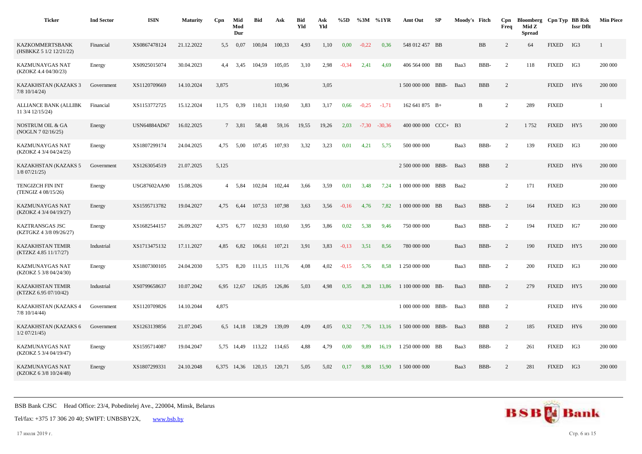| <b>Ticker</b>                                     | <b>Ind Sector</b> | <b>ISIN</b>         | <b>Maturity</b> | Cpn            | Mid<br>Mod<br>Dur | <b>Bid</b> | Ask    | <b>Bid</b><br>Yld | Ask<br>Yld | %5D     | %3M     | %1YR     | Amt Out             | <b>SP</b> | Moody's Fitch |             | Cpn<br>Freq    | Bloomberg Cpn Typ BB Rsk<br>Mid Z<br><b>Spread</b> |              | <b>Issr Dflt</b> | <b>Min Piece</b> |
|---------------------------------------------------|-------------------|---------------------|-----------------|----------------|-------------------|------------|--------|-------------------|------------|---------|---------|----------|---------------------|-----------|---------------|-------------|----------------|----------------------------------------------------|--------------|------------------|------------------|
| <b>KAZKOMMERTSBANK</b><br>(HSBKKZ 5 1/2 12/21/22) | Financial         | XS0867478124        | 21.12.2022      | 5,5            | 0,07              | 100,04     | 100.33 | 4,93              | 1,10       | 0,00    | $-0.22$ | 0,36     | 548 012 457 BB      |           |               | BB          | 2              | 64                                                 | <b>FIXED</b> | IG3              | 1                |
| KAZMUNAYGAS NAT<br>(KZOKZ 4.4 04/30/23)           | Energy            | XS0925015074        | 30.04.2023      | 4,4            | 3,45              | 104,59     | 105,05 | 3,10              | 2,98       | $-0,34$ | 2,41    | 4,69     | 406 564 000 BB      |           | Baa3          | BBB-        | $\overline{2}$ | 118                                                | <b>FIXED</b> | IG3              | 200 000          |
| KAZAKHSTAN (KAZAKS 3<br>$7/8$ 10/14/24)           | Government        | XS1120709669        | 14.10.2024      | 3,875          |                   |            | 103,96 |                   | 3,05       |         |         |          | 1 500 000 000 BBB-  |           | Baa3          | <b>BBB</b>  | $\overline{c}$ |                                                    | <b>FIXED</b> | HY <sub>6</sub>  | 200 000          |
| <b>ALLIANCE BANK (ALLIBK</b><br>11 3/4 12/15/24)  | Financial         | XS1153772725        | 15.12.2024      | 11,75          | 0,39              | 110,31     | 110,60 | 3,83              | 3,17       | 0,66    | $-0,25$ | $-1,71$  | 162 641 875 B+      |           |               | $\mathbf B$ | $\overline{2}$ | 289                                                | <b>FIXED</b> |                  |                  |
| <b>NOSTRUM OIL &amp; GA</b><br>(NOGLN 7 02/16/25) | Energy            | <b>USN64884AD67</b> | 16.02.2025      |                | 7 3.81            | 58,48      | 59,16  | 19.55             | 19,26      | 2.03    | $-7.30$ | $-30.36$ | 400 000 000 CCC+ B3 |           |               |             | 2              | 1752                                               | <b>FIXED</b> | HY5              | 200 000          |
| KAZMUNAYGAS NAT<br>(KZOKZ 4 3/4 04/24/25)         | Energy            | XS1807299174        | 24.04.2025      | 4,75           | 5,00              | 107,45     | 107,93 | 3,32              | 3,23       | 0,01    | 4,21    | 5,75     | 500 000 000         |           | Baa3          | BBB-        | 2              | 139                                                | <b>FIXED</b> | IG3              | 200 000          |
| KAZAKHSTAN (KAZAKS 5<br>$1/8$ 07/21/25)           | Government        | XS1263054519        | 21.07.2025      | 5,125          |                   |            |        |                   |            |         |         |          | 2 500 000 000 BBB-  |           | Baa3          | <b>BBB</b>  | $\overline{c}$ |                                                    | <b>FIXED</b> | HY <sub>6</sub>  | 200 000          |
| <b>TENGIZCH FIN INT</b><br>(TENGIZ 4 08/15/26)    | Energy            | USG87602AA90        | 15.08.2026      | $\overline{4}$ | 5,84              | 102,04     | 102,44 | 3,66              | 3,59       | 0,01    | 3,48    | 7,24     | 1 000 000 000 BBB   |           | Baa2          |             | $\overline{2}$ | 171                                                | <b>FIXED</b> |                  | 200 000          |
| KAZMUNAYGAS NAT<br>(KZOKZ 4 3/4 04/19/27)         | Energy            | XS1595713782        | 19.04.2027      | 4,75           | 6,44              | 107,53     | 107,98 | 3,63              | 3,56       | $-0,16$ | 4,76    | 7,82     | 1 000 000 000 BB    |           | Baa3          | BBB-        | 2              | 164                                                | <b>FIXED</b> | IG3              | 200 000          |
| KAZTRANSGAS JSC<br>(KZTGKZ 4 3/8 09/26/27)        | Energy            | XS1682544157        | 26.09.2027      | 4,375          | 6,77              | 102,93     | 103,60 | 3,95              | 3,86       | 0,02    | 5,38    | 9,46     | 750 000 000         |           | Baa3          | BBB-        | $\overline{2}$ | 194                                                | <b>FIXED</b> | IG7              | 200 000          |
| <b>KAZAKHSTAN TEMIR</b><br>(KTZKZ 4.85 11/17/27)  | Industrial        | XS1713475132        | 17.11.2027      | 4.85           | 6,82              | 106,61     | 107,21 | 3,91              | 3,83       | $-0,13$ | 3,51    | 8,56     | 780 000 000         |           | Baa3          | BBB-        | $\overline{c}$ | 190                                                | <b>FIXED</b> | HY5              | 200 000          |
| KAZMUNAYGAS NAT<br>(KZOKZ 5 3/8 04/24/30)         | Energy            | XS1807300105        | 24.04.2030      | 5,375          | 8,20              | 111,15     | 111,76 | 4,08              | 4,02       | $-0,15$ | 5,76    | 8,58     | 1 250 000 000       |           | Baa3          | BBB-        | $\overline{2}$ | 200                                                | <b>FIXED</b> | IG3              | 200 000          |
| <b>KAZAKHSTAN TEMIR</b><br>(KTZKZ 6.95 07/10/42)  | Industrial        | XS0799658637        | 10.07.2042      | 6,95           | 12,67             | 126,05     | 126,86 | 5,03              | 4,98       | 0,35    | 8,28    | 13,86    | 1 100 000 000       | BB-       | Baa3          | BBB-        | $\overline{2}$ | 279                                                | <b>FIXED</b> | HY5              | 200 000          |
| KAZAKHSTAN (KAZAKS 4<br>7/8 10/14/44)             | Government        | XS1120709826        | 14.10.2044      | 4,875          |                   |            |        |                   |            |         |         |          | 1 000 000 000       | BBB-      | Baa3          | <b>BBB</b>  | $\overline{c}$ |                                                    | <b>FIXED</b> | HY <sub>6</sub>  | 200 000          |
| KAZAKHSTAN (KAZAKS 6<br>$1/2$ 07/21/45)           | Government        | XS1263139856        | 21.07.2045      |                | 6,5 14,18         | 138,29     | 139,09 | 4,09              | 4,05       | 0,32    | 7,76    | 13,16    | 1 500 000 000       | BBB-      | Baa3          | <b>BBB</b>  | $\overline{c}$ | 185                                                | <b>FIXED</b> | HY <sub>6</sub>  | 200 000          |
| KAZMUNAYGAS NAT<br>(KZOKZ 5 3/4 04/19/47)         | Energy            | XS1595714087        | 19.04.2047      |                | 5,75 14,49        | 113,22     | 114,65 | 4,88              | 4,79       | 0,00    | 9,89    | 16,19    | 1 250 000 000 BB    |           | Baa3          | BBB-        | $\overline{2}$ | 261                                                | <b>FIXED</b> | IG3              | 200 000          |
| KAZMUNAYGAS NAT<br>(KZOKZ 6 3/8 10/24/48)         | Energy            | XS1807299331        | 24.10.2048      |                | 6,375 14,36       | 120,15     | 120,71 | 5,05              | 5,02       | 0,17    | 9,88    | 15,90    | 1 500 000 000       |           | Baa3          | BBB-        | $\overline{c}$ | 281                                                | <b>FIXED</b> | IG3              | 200 000          |



17 июля 2019 г. Стр. 6 из 15

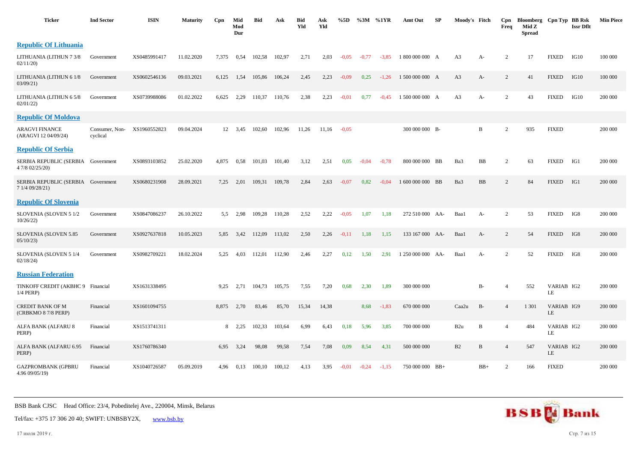| <b>Ticker</b>                                         | <b>Ind Sector</b>          | <b>ISIN</b>  | <b>Maturity</b> | Cpn   | Mid<br>Mod<br>Dur | <b>Bid</b> | Ask    | <b>Bid</b><br>Yld | Ask<br>Yld | %5D     | %3M     | %1YR    | Amt Out           | SP | Moody's Fitch   |              | Cpn<br>Freq    | Bloomberg Cpn Typ BB Rsk<br>Mid Z<br><b>Spread</b> |                  | <b>Issr Dflt</b> | <b>Min Piece</b> |
|-------------------------------------------------------|----------------------------|--------------|-----------------|-------|-------------------|------------|--------|-------------------|------------|---------|---------|---------|-------------------|----|-----------------|--------------|----------------|----------------------------------------------------|------------------|------------------|------------------|
| <b>Republic Of Lithuania</b>                          |                            |              |                 |       |                   |            |        |                   |            |         |         |         |                   |    |                 |              |                |                                                    |                  |                  |                  |
| LITHUANIA (LITHUN 7 3/8<br>02/11/20                   | Government                 | XS0485991417 | 11.02.2020      | 7,375 | 0,54              | 102,58     | 102,97 | 2,71              | 2,03       | $-0.05$ | $-0,77$ | $-3,85$ | 1 800 000 000 A   |    | A <sub>3</sub>  | A-           | $\overline{c}$ | 17                                                 | <b>FIXED</b>     | IG10             | 100 000          |
| LITHUANIA (LITHUN 6 1/8<br>03/09/21                   | Government                 | XS0602546136 | 09.03.2021      | 6,125 | 1,54              | 105,86     | 106,24 | 2,45              | 2,23       | $-0,09$ | 0,25    | $-1,26$ | 1 500 000 000 A   |    | A <sub>3</sub>  | A-           | $\overline{2}$ | 41                                                 | <b>FIXED</b>     | IG10             | 100 000          |
| LITHUANIA (LITHUN 6 5/8<br>02/01/22                   | Government                 | XS0739988086 | 01.02.2022      | 6,625 | 2,29              | 110,37     | 110,76 | 2,38              | 2,23       | $-0.01$ | 0,77    | $-0.45$ | 1 500 000 000 A   |    | A <sub>3</sub>  | $A-$         | $\overline{2}$ | 43                                                 | <b>FIXED</b>     | IG10             | 200 000          |
| <b>Republic Of Moldova</b>                            |                            |              |                 |       |                   |            |        |                   |            |         |         |         |                   |    |                 |              |                |                                                    |                  |                  |                  |
| <b>ARAGVI FINANCE</b><br>(ARAGVI 12 04/09/24)         | Consumer, Non-<br>cyclical | XS1960552823 | 09.04.2024      |       | 12 3,45           | 102,60     | 102,96 | 11,26             | 11,16      | $-0.05$ |         |         | 300 000 000 B-    |    |                 | B            | $\overline{c}$ | 935                                                | <b>FIXED</b>     |                  | 200 000          |
| <b>Republic Of Serbia</b>                             |                            |              |                 |       |                   |            |        |                   |            |         |         |         |                   |    |                 |              |                |                                                    |                  |                  |                  |
| SERBIA REPUBLIC (SERBIA Government<br>4 7/8 02/25/20) |                            | XS0893103852 | 25.02.2020      | 4,875 | 0.58              | 101,03     | 101.40 | 3,12              | 2,51       | 0,05    | $-0.04$ | $-0.78$ | 800 000 000 BB    |    | Ba3             | <b>BB</b>    | $\overline{2}$ | 63                                                 | <b>FIXED</b>     | IG1              | 200 000          |
| SERBIA REPUBLIC (SERBIA Government<br>7 1/4 09/28/21) |                            | XS0680231908 | 28.09.2021      | 7,25  | 2,01              | 109,31     | 109,78 | 2,84              | 2,63       | $-0.07$ | 0,82    | $-0.04$ | 1 600 000 000 BB  |    | Ba3             | BB           | $\overline{2}$ | 84                                                 | <b>FIXED</b>     | IG1              | 200 000          |
| <b>Republic Of Slovenia</b>                           |                            |              |                 |       |                   |            |        |                   |            |         |         |         |                   |    |                 |              |                |                                                    |                  |                  |                  |
| SLOVENIA (SLOVEN 5 1/2<br>10/26/22)                   | Government                 | XS0847086237 | 26.10.2022      | 5.5   | 2,98              | 109,28     | 110,28 | 2,52              | 2,22       | $-0.05$ | 1,07    | 1,18    | 272 510 000 AA-   |    | Baa1            | A-           | 2              | 53                                                 | <b>FIXED</b>     | IG8              | 200 000          |
| SLOVENIA (SLOVEN 5.85<br>05/10/23                     | Government                 | XS0927637818 | 10.05.2023      | 5,85  | 3,42              | 112,09     | 113,02 | 2,50              | 2,26       | $-0,11$ | 1,18    | 1,15    | 133 167 000 AA-   |    | Baa1            | $A-$         | $\overline{2}$ | 54                                                 | <b>FIXED</b>     | IG8              | 200 000          |
| SLOVENIA (SLOVEN 5 1/4<br>02/18/24                    | Government                 | XS0982709221 | 18.02.2024      | 5.25  | 4.03              | 112,01     | 112,90 | 2,46              | 2,27       | 0,12    | 1,50    | 2,91    | 1 250 000 000 AA- |    | Baa1            | A-           | $\overline{2}$ | 52                                                 | <b>FIXED</b>     | IG8              | 200 000          |
| <b>Russian Federation</b>                             |                            |              |                 |       |                   |            |        |                   |            |         |         |         |                   |    |                 |              |                |                                                    |                  |                  |                  |
| TINKOFF CREDIT (AKBHC 9 Financial<br>$1/4$ PERP)      |                            | XS1631338495 |                 | 9,25  | 2,71              | 104,73     | 105,75 | 7,55              | 7,20       | 0,68    | 2,30    | 1,89    | 300 000 000       |    |                 | <b>B-</b>    | $\Delta$       | 552                                                | VARIAB IG2<br>LE |                  | 200 000          |
| CREDIT BANK OF M<br>(CRBKMO 8 7/8 PERP)               | Financial                  | XS1601094755 |                 | 8,875 | 2,70              | 83,46      | 85,70  | 15,34             | 14,38      |         | 8,68    | $-1,83$ | 670 000 000       |    | Caa2u           | $B-$         | $\overline{4}$ | 1 3 0 1                                            | VARIAB IG9<br>LE |                  | 200 000          |
| ALFA BANK (ALFARU 8<br>PERP)                          | Financial                  | XS1513741311 |                 |       | 8, 2, 25          | 102,33     | 103,64 | 6,99              | 6,43       | 0,18    | 5,96    | 3,85    | 700 000 000       |    | B <sub>2u</sub> | $\, {\bf B}$ | $\overline{4}$ | 484                                                | VARIAB IG2<br>LE |                  | 200 000          |
| ALFA BANK (ALFARU 6.95<br>PERP)                       | Financial                  | XS1760786340 |                 | 6,95  | 3,24              | 98,08      | 99,58  | 7,54              | 7,08       | 0,09    | 8,54    | 4,31    | 500 000 000       |    | B2              | $\, {\bf B}$ | $\overline{4}$ | 547                                                | VARIAB IG2<br>LE |                  | 200 000          |
| <b>GAZPROMBANK (GPBRU</b><br>4.96 09/05/19)           | Financial                  | XS1040726587 | 05.09.2019      | 4,96  | 0,13              | 100,10     | 100,12 | 4,13              | 3,95       | $-0.01$ | $-0,24$ | $-1,15$ | 750 000 000 BB+   |    |                 | $BB+$        | $\overline{2}$ | 166                                                | <b>FIXED</b>     |                  | 200 000          |

Tel/fax: +375 17 306 20 40; SWIFT: UNBSBY2X, [www.bsb.by](https://www.bsb.by/)

17 июля 2019 г. Стр. 7 из 15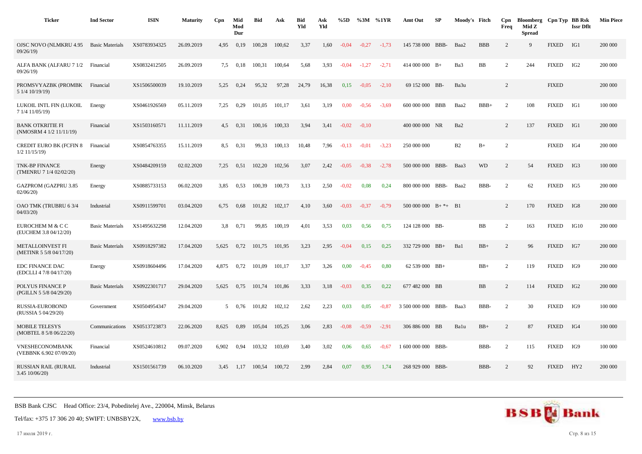| <b>Ticker</b>                                      | <b>Ind Sector</b>      | <b>ISIN</b>  | <b>Maturity</b> | Cpn   | Mid<br>Mod<br>Dur | <b>Bid</b> | Ask    | <b>Bid</b><br>Yld | Ask<br>Yld | %5D     | %3M     | %1YR    | Amt Out                     | SP | Moody's Fitch   |            | Cpn<br>Freq    | Bloomberg Cpn Typ BB Rsk<br>Mid Z<br><b>Spread</b> |              | <b>Issr Dflt</b> | <b>Min Piece</b> |
|----------------------------------------------------|------------------------|--------------|-----------------|-------|-------------------|------------|--------|-------------------|------------|---------|---------|---------|-----------------------------|----|-----------------|------------|----------------|----------------------------------------------------|--------------|------------------|------------------|
| <b>OJSC NOVO (NLMKRU 4.95)</b><br>09/26/19         | <b>Basic Materials</b> | XS0783934325 | 26.09.2019      | 4,95  | 0,19              | 100,28     | 100,62 | 3,37              | 1,60       | $-0.04$ | $-0,27$ | $-1,73$ | 145 738 000 BBB-            |    | Baa2            | <b>BBB</b> | 2              | 9                                                  | <b>FIXED</b> | IG1              | 200 000          |
| ALFA BANK (ALFARU 7 1/2<br>09/26/19                | Financial              | XS0832412505 | 26.09.2019      | 7.5   | 0,18              | 100,31     | 100,64 | 5,68              | 3,93       | $-0,04$ | $-1,27$ | $-2,71$ | 414 000 000 $B+$            |    | Ba3             | BB         | 2              | 244                                                | <b>FIXED</b> | IG <sub>2</sub>  | 200 000          |
| PROMSVYAZBK (PROMBK<br>5 1/4 10/19/19)             | Financial              | XS1506500039 | 19.10.2019      | 5,25  | 0,24              | 95,32      | 97,28  | 24,79             | 16,38      | 0,15    | $-0.05$ | $-2,10$ | 69 152 000 BB-              |    | Ba3u            |            | 2              |                                                    | <b>FIXED</b> |                  | 200 000          |
| LUKOIL INTL FIN (LUKOIL<br>7 1/4 11/05/19)         | Energy                 | XS0461926569 | 05.11.2019      | 7,25  | 0,29              | 101,05     | 101,17 | 3,61              | 3,19       | 0,00    | $-0,56$ | $-3,69$ | 600 000 000 BBB             |    | Baa2            | $BBB+$     | 2              | 108                                                | <b>FIXED</b> | IG1              | 100 000          |
| <b>BANK OTKRITIE FI</b><br>(NMOSRM 4 1/2 11/11/19) | Financial              | XS1503160571 | 11.11.2019      | 4,5   | 0,31              | 100.16     | 100,33 | 3,94              | 3,41       | $-0.02$ | $-0,10$ |         | 400 000 000 NR              |    | Ba <sub>2</sub> |            | 2              | 137                                                | <b>FIXED</b> | IG1              | 200 000          |
| <b>CREDIT EURO BK (FCFIN 8</b><br>$1/2$ 11/15/19)  | Financial              | XS0854763355 | 15.11.2019      | 8,5   | 0,31              | 99,33      | 100,13 | 10,48             | 7,96       | $-0,13$ | $-0.01$ | $-3,23$ | 250 000 000                 |    | B <sub>2</sub>  | $B+$       | $\overline{c}$ |                                                    | <b>FIXED</b> | IG4              | 200 000          |
| <b>TNK-BP FINANCE</b><br>(TMENRU 7 1/4 02/02/20)   | Energy                 | XS0484209159 | 02.02.2020      | 7.25  | 0.51              | 102,20     | 102,56 | 3.07              | 2.42       | $-0.05$ | $-0.38$ | $-2.78$ | 500 000 000 BBB-            |    | Baa3            | <b>WD</b>  | 2              | 54                                                 | <b>FIXED</b> | IG3              | 100 000          |
| <b>GAZPROM (GAZPRU 3.85</b><br>02/06/20            | Energy                 | XS0885733153 | 06.02.2020      | 3,85  | 0,53              | 100,39     | 100,73 | 3,13              | 2,50       | $-0.02$ | 0,08    | 0,24    | 800 000 000 BBB-            |    | Baa2            | BBB-       | 2              | 62                                                 | <b>FIXED</b> | IG5              | 200 000          |
| OAO TMK (TRUBRU 63/4<br>04/03/20                   | Industrial             | XS0911599701 | 03.04.2020      | 6,75  | 0.68              | 101,82     | 102,17 | 4,10              | 3,60       | $-0.03$ | $-0.37$ | $-0.79$ | $500\,000\,000$ B+ $*$ + B1 |    |                 |            | 2              | 170                                                | <b>FIXED</b> | IG8              | 200 000          |
| EUROCHEM M & C C<br>(EUCHEM 3.8 04/12/20)          | <b>Basic Materials</b> | XS1495632298 | 12.04.2020      | 3,8   | 0,71              | 99,85      | 100,19 | 4,01              | 3,53       | 0,03    | 0.56    | 0,75    | 124 128 000 BB-             |    |                 | BB         | $\overline{c}$ | 163                                                | <b>FIXED</b> | IG10             | 200 000          |
| <b>METALLOINVEST FI</b><br>(METINR 5 5/8 04/17/20) | <b>Basic Materials</b> | XS0918297382 | 17.04.2020      | 5,625 | 0,72              | 101,75     | 101,95 | 3,23              | 2,95       | $-0.04$ | 0,15    | 0,25    | 332 729 000 BB+             |    | Ba1             | $BB+$      | 2              | 96                                                 | <b>FIXED</b> | IG7              | 200 000          |
| <b>EDC FINANCE DAC</b><br>(EDCLLI 4 7/8 04/17/20)  | Energy                 | XS0918604496 | 17.04.2020      | 4.875 | 0,72              | 101.09     | 101.17 | 3,37              | 3,26       | 0,00    | $-0.45$ | 0,80    | $62539000$ BB+              |    |                 | $BB+$      | 2              | 119                                                | <b>FIXED</b> | IG9              | 200 000          |
| POLYUS FINANCE P<br>(PGILLN 5 5/8 04/29/20)        | <b>Basic Materials</b> | XS0922301717 | 29.04.2020      | 5,625 | 0,75              | 101,74     | 101,86 | 3,33              | 3,18       | $-0.03$ | 0,35    | 0,22    | 677 482 000 BB              |    |                 | BB         | 2              | 114                                                | <b>FIXED</b> | IG <sub>2</sub>  | 200 000          |
| RUSSIA-EUROBOND<br>(RUSSIA 5 04/29/20)             | Government             | XS0504954347 | 29.04.2020      |       | 5 0,76            | 101,82     | 102,12 | 2,62              | 2,23       | 0,03    | 0.05    | $-0.87$ | 3 500 000 000 BBB-          |    | Baa3            | BBB-       | 2              | 30                                                 | <b>FIXED</b> | IG9              | 100 000          |
| <b>MOBILE TELESYS</b><br>(MOBTEL 8 5/8 06/22/20)   | Communications         | XS0513723873 | 22.06.2020      | 8,625 | 0,89              | 105,04     | 105,25 | 3,06              | 2,83       | $-0.08$ | $-0,59$ | $-2,91$ | 306 886 000 BB              |    | Balu            | $BB+$      | 2              | 87                                                 | <b>FIXED</b> | IG4              | 100 000          |
| <b>VNESHECONOMBANK</b><br>(VEBBNK 6.902 07/09/20)  | Financial              | XS0524610812 | 09.07.2020      | 6.902 | 0.94              | 103.32     | 103,69 | 3.40              | 3,02       | 0,06    | 0.65    | $-0.67$ | 1 600 000 000 BBB-          |    |                 | BBB-       | $\overline{c}$ | 115                                                | <b>FIXED</b> | IG9              | 100 000          |
| <b>RUSSIAN RAIL (RURAIL</b><br>3.45 10/06/20)      | Industrial             | XS1501561739 | 06.10.2020      | 3,45  | 1,17              | 100,54     | 100,72 | 2,99              | 2,84       | 0,07    | 0.95    | 1,74    | 268 929 000 BBB-            |    |                 | BBB-       | 2              | 92                                                 | <b>FIXED</b> | HY2              | 200 000          |



17 июля 2019 г. Стр. 8 из 15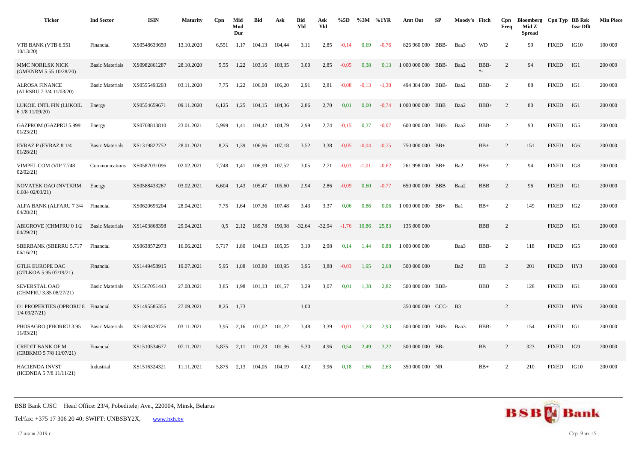| <b>Ticker</b>                                      | <b>Ind Sector</b>      | <b>ISIN</b>  | <b>Maturity</b> | Cpn           | Mid<br>Mod<br>Dur | <b>Bid</b> | Ask    | <b>Bid</b><br>Yld | Ask<br>Yld | %5D     | %3M     | %1YR    | Amt Out             | <b>SP</b> | Moody's Fitch |                  | Cpn<br>Freq    | Bloomberg Cpn Typ BB Rsk<br>Mid Z<br><b>Spread</b> |              | <b>Issr Dflt</b> | <b>Min Piece</b> |
|----------------------------------------------------|------------------------|--------------|-----------------|---------------|-------------------|------------|--------|-------------------|------------|---------|---------|---------|---------------------|-----------|---------------|------------------|----------------|----------------------------------------------------|--------------|------------------|------------------|
| VTB BANK (VTB 6.551<br>10/13/20                    | Financial              | XS0548633659 | 13.10.2020      | 6,551         | 1,17              | 104.13     | 104,44 | 3,11              | 2,85       | $-0.14$ | 0.69    | $-0,76$ | 826 960 000         | BBB-      | Baa3          | WD               | $\overline{2}$ | 99                                                 | <b>FIXED</b> | IG10             | 100 000          |
| MMC NORILSK NICK<br>(GMKNRM 5.55 10/28/20)         | <b>Basic Materials</b> | XS0982861287 | 28.10.2020      | 5,55          | 1,22              | 103,16     | 103,35 | 3,00              | 2,85       | $-0.05$ | 0,38    | 0,13    | 1 000 000 000       | BBB-      | Baa2          | BBB-<br>$\ast_-$ | $\overline{c}$ | 94                                                 | <b>FIXED</b> | IG1              | 200 000          |
| <b>ALROSA FINANCE</b><br>(ALRSRU 7 3/4 11/03/20)   | <b>Basic Materials</b> | XS0555493203 | 03.11.2020      | 7.75          | 1,22              | 106,08     | 106,20 | 2,91              | 2,81       | $-0,08$ | $-0,13$ | $-1,38$ | 494 384 000 BBB-    |           | Baa2          | BBB-             | $\overline{2}$ | 88                                                 | <b>FIXED</b> | IG1              | 200 000          |
| LUKOIL INTL FIN (LUKOIL<br>6 1/8 11/09/20)         | Energy                 | XS0554659671 | 09.11.2020      | 6,125         | 1,25              | 104,15     | 104,36 | 2,86              | 2,70       | 0,01    | 0,00    | $-0.74$ | 1 000 000 000 BBB   |           | Baa2          | $BBB+$           | $\overline{2}$ | 80                                                 | <b>FIXED</b> | IG1              | 200 000          |
| GAZPROM (GAZPRU 5.999<br>01/23/21                  | Energy                 | XS0708813810 | 23.01.2021      | 5,999         | 1,41              | 104,42     | 104,79 | 2,99              | 2,74       | $-0,15$ | 0,37    | $-0.07$ | 600 000 000 BBB-    |           | Baa2          | BBB-             | 2              | 93                                                 | <b>FIXED</b> | IG5              | 200 000          |
| EVRAZ P (EVRAZ 8 1/4<br>01/28/21                   | <b>Basic Materials</b> | XS1319822752 | 28.01.2021      | 8,25          | 1,39              | 106,96     | 107,18 | 3,52              | 3,38       | $-0.05$ | $-0.04$ | $-0,75$ | 750 000 000 BB+     |           |               | $BB+$            | $\overline{c}$ | 151                                                | <b>FIXED</b> | IG6              | 200 000          |
| VIMPEL COM (VIP 7.748<br>02/02/21                  | Communications         | XS0587031096 | 02.02.2021      | 7,748         | 1,41              | 106,99     | 107,52 | 3,05              | 2,71       | $-0.03$ | $-1.01$ | $-0.62$ | 261 998 000 BB+     |           | Ba2           | $BB+$            | $\overline{2}$ | 94                                                 | <b>FIXED</b> | IG8              | 200 000          |
| NOVATEK OAO (NVTKRM<br>6.60402/03/21               | Energy                 | XS0588433267 | 03.02.2021      | 6,604         | 1,43              | 105,47     | 105,60 | 2,94              | 2,86       | $-0.09$ | 0,60    | $-0.77$ | 650 000 000 BBB     |           | Baa2          | <b>BBB</b>       | 2              | 96                                                 | <b>FIXED</b> | IG1              | 200 000          |
| ALFA BANK (ALFARU 7 3/4<br>04/28/21                | Financial              | XS0620695204 | 28.04.2021      | 7,75          | 1,64              | 107,36     | 107,48 | 3,43              | 3,37       | 0,06    | 0,86    | 0,06    | $1000000000$ BB+    |           | Ba1           | $BB+$            | $\overline{2}$ | 149                                                | <b>FIXED</b> | IG2              | 200 000          |
| <b>ABIGROVE (CHMFRU 0 1/2</b><br>04/29/21          | <b>Basic Materials</b> | XS1403868398 | 29.04.2021      | $0.5^{\circ}$ | 2,12              | 189,78     | 190,98 | $-32,64$          | $-32,94$   | $-1,76$ | 10.86   | 25,83   | 135 000 000         |           |               | <b>BBB</b>       | $\overline{c}$ |                                                    | <b>FIXED</b> | IG1              | 200 000          |
| SBERBANK (SBERRU 5.717<br>06/16/21                 | Financial              | XS0638572973 | 16.06.2021      | 5,717         | 1,80              | 104,63     | 105,05 | 3,19              | 2,98       | 0,14    | 1,44    | 0,88    | 1 000 000 000       |           | Baa3          | BBB-             | $\overline{2}$ | 118                                                | <b>FIXED</b> | IG5              | 200 000          |
| <b>GTLK EUROPE DAC</b><br>(GTLKOA 5.95 07/19/21)   | Financial              | XS1449458915 | 19.07.2021      | 5,95          | 1,88              | 103,80     | 103,95 | 3,95              | 3,88       | $-0.03$ | 1,95    | 2,68    | 500 000 000         |           | Ba2           | $_{\rm BB}$      | $\overline{c}$ | 201                                                | <b>FIXED</b> | HY3              | 200 000          |
| SEVERSTAL OAO<br>(CHMFRU 3.85 08/27/21)            | <b>Basic Materials</b> | XS1567051443 | 27.08.2021      | 3,85          | 1,98              | 101,13     | 101,57 | 3,29              | 3,07       | 0,01    | 1.38    | 2,82    | 500 000 000 BBB-    |           |               | <b>BBB</b>       | $\overline{2}$ | 128                                                | <b>FIXED</b> | IG1              | 200 000          |
| <b>O1 PROPERTIES (OPRORU 8</b><br>$1/4$ 09/27/21)  | Financial              | XS1495585355 | 27.09.2021      | 8,25          | 1,73              |            |        | 1,00              |            |         |         |         | 350 000 000 CCC- B3 |           |               |                  | $\overline{c}$ |                                                    | <b>FIXED</b> | HY <sub>6</sub>  | 200 000          |
| PHOSAGRO (PHORRU 3.95<br>11/03/21                  | <b>Basic Materials</b> | XS1599428726 | 03.11.2021      | 3,95          | 2,16              | 101,02     | 101,22 | 3,48              | 3,39       | $-0.01$ | 1,23    | 2,93    | 500 000 000 BBB-    |           | Baa3          | BBB-             | 2              | 154                                                | <b>FIXED</b> | IG1              | 200 000          |
| <b>CREDIT BANK OF M</b><br>(CRBKMO 5 7/8 11/07/21) | Financial              | XS1510534677 | 07.11.2021      | 5,875         | 2,11              | 101,23     | 101,96 | 5,30              | 4,96       | 0,54    | 2,49    | 3,22    | 500 000 000 BB-     |           |               | BB               | $\overline{c}$ | 323                                                | <b>FIXED</b> | IG9              | 200 000          |
| <b>HACIENDA INVST</b><br>(HCDNDA 5 7/8 11/11/21)   | Industrial             | XS1516324321 | 11.11.2021      | 5,875         | 2,13              | 104,05     | 104,19 | 4,02              | 3,96       | 0,18    | 1,66    | 2,63    | 350 000 000 NR      |           |               | $BB+$            | $\overline{2}$ | 210                                                | <b>FIXED</b> | IG10             | 200 000          |



17 июля 2019 г. Стр. 9 из 15

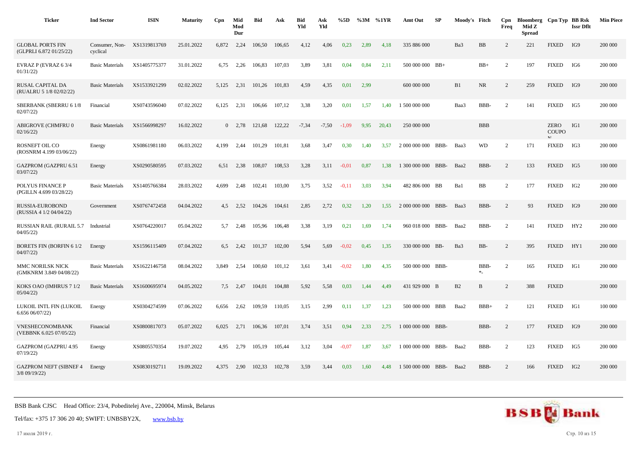| <b>Ticker</b>                                      | <b>Ind Sector</b>          | <b>ISIN</b>  | <b>Maturity</b> | Cpn   | Mid<br>Mod<br>Dur | <b>Bid</b> | Ask    | <b>Bid</b><br>Yld | Ask<br>Yld | %5D     |      | %3M %1YR | Amt Out            | SP         | Moody's Fitch |            | Cpn<br>Freq    | Bloomberg Cpn Typ BB Rsk<br>Mid Z<br><b>Spread</b> |                             | <b>Issr Dflt</b> | <b>Min Piece</b> |
|----------------------------------------------------|----------------------------|--------------|-----------------|-------|-------------------|------------|--------|-------------------|------------|---------|------|----------|--------------------|------------|---------------|------------|----------------|----------------------------------------------------|-----------------------------|------------------|------------------|
| <b>GLOBAL PORTS FIN</b><br>(GLPRLI 6.872 01/25/22) | Consumer, Non-<br>cyclical | XS1319813769 | 25.01.2022      | 6,872 | 2,24              | 106.50     | 106,65 | 4,12              | 4,06       | 0.23    | 2,89 | 4,18     | 335 886 000        |            | Ba3           | BB         | 2              | 221                                                | <b>FIXED</b>                | IG9              | 200 000          |
| EVRAZ P (EVRAZ 6 3/4<br>01/31/22                   | <b>Basic Materials</b>     | XS1405775377 | 31.01.2022      | 6,75  | 2,26              | 106,83     | 107,03 | 3,89              | 3,81       | 0,04    | 0,84 | 2,11     | 500 000 000 BB+    |            |               | $BB+$      | 2              | 197                                                | <b>FIXED</b>                | IG6              | 200 000          |
| RUSAL CAPITAL DA<br>(RUALRU 5 1/8 02/02/22)        | <b>Basic Materials</b>     | XS1533921299 | 02.02.2022      | 5,125 | 2,31              | 101,26     | 101,83 | 4,59              | 4,35       | 0,01    | 2,99 |          | 600 000 000        |            | B1            | <b>NR</b>  | 2              | 259                                                | <b>FIXED</b>                | IG9              | 200 000          |
| SBERBANK (SBERRU 6 1/8<br>02/07/22                 | Financial                  | XS0743596040 | 07.02.2022      | 6,125 | 2,31              | 106,66     | 107,12 | 3,38              | 3,20       | 0,01    | 1,57 | 1,40     | 1 500 000 000      |            | Baa3          | BBB-       | 2              | 141                                                | <b>FIXED</b>                | IG5              | 200 000          |
| ABIGROVE (CHMFRU 0<br>02/16/22                     | <b>Basic Materials</b>     | XS1566998297 | 16.02.2022      |       | $0 \quad 2.78$    | 121,68     | 122,22 | $-7,34$           | $-7,50$    | $-1,09$ | 9,95 | 20.43    | 250 000 000        |            |               | <b>BBB</b> |                |                                                    | <b>ZERO</b><br><b>COUPO</b> | IG1              | 200 000          |
| ROSNEFT OIL CO<br>(ROSNRM 4.199 03/06/22)          | Energy                     | XS0861981180 | 06.03.2022      | 4,199 | 2,44              | 101,29     | 101,81 | 3,68              | 3,47       | 0,30    | 1,40 | 3,57     | 2 000 000 000      | BBB-       | Baa3          | <b>WD</b>  | 2              | 171                                                | <b>FIXED</b>                | IG3              | 200 000          |
| GAZPROM (GAZPRU 6.51<br>03/07/22                   | Energy                     | XS0290580595 | 07.03.2022      | 6.51  | 2,38              | 108,07     | 108,53 | 3,28              | 3,11       | $-0.01$ | 0.87 | 1.38     | 1 300 000 000      | BBB-       | Baa2          | BBB-       | 2              | 133                                                | <b>FIXED</b>                | IG5              | 100 000          |
| POLYUS FINANCE P<br>(PGILLN 4.699 03/28/22)        | <b>Basic Materials</b>     | XS1405766384 | 28.03.2022      | 4,699 | 2,48              | 102,41     | 103,00 | 3,75              | 3,52       | $-0,11$ | 3,03 | 3,94     | 482 806 000 BB     |            | Ba1           | BB         | 2              | 177                                                | <b>FIXED</b>                | IG <sub>2</sub>  | 200 000          |
| <b>RUSSIA-EUROBOND</b><br>(RUSSIA 4 1/2 04/04/22)  | Government                 | XS0767472458 | 04.04.2022      | 4,5   | 2,52              | 104,26     | 104,61 | 2,85              | 2,72       | 0,32    | 1,20 | 1,55     | 2 000 000 000 BBB- |            | Baa3          | BBB-       | 2              | 93                                                 | <b>FIXED</b>                | IG9              | 200 000          |
| <b>RUSSIAN RAIL (RURAIL 5.7</b><br>04/05/22        | Industrial                 | XS0764220017 | 05.04.2022      | 5,7   | 2,48              | 105,96     | 106,48 | 3,38              | 3,19       | 0,21    | 1,69 | 1,74     | 960 018 000 BBB-   |            | Baa2          | BBB-       | 2              | 141                                                | <b>FIXED</b>                | HY <sub>2</sub>  | 200 000          |
| <b>BORETS FIN (BORFIN 61/2)</b><br>04/07/22        | Energy                     | XS1596115409 | 07.04.2022      | 6.5   | 2,42              | 101,37     | 102,00 | 5,94              | 5,69       | $-0.02$ | 0,45 | 1,35     | 330 000 000 BB-    |            | Ba3           | BB-        | 2              | 395                                                | <b>FIXED</b>                | HY1              | 200 000          |
| MMC NORILSK NICK<br>(GMKNRM 3.849 04/08/22)        | <b>Basic Materials</b>     | XS1622146758 | 08.04.2022      | 3,849 | 2,54              | 100,60     | 101,12 | 3,61              | 3,41       | $-0.02$ | 1,80 | 4,35     | 500 000 000 BBB-   |            |               | BBB-<br>*  | 2              | 165                                                | <b>FIXED</b>                | IG1              | 200 000          |
| KOKS OAO (IMHRUS 7 1/2<br>05/04/22                 | <b>Basic Materials</b>     | XS1600695974 | 04.05.2022      | 7,5   | 2,47              | 104,01     | 104,88 | 5,92              | 5,58       | 0,03    | 1,44 | 4,49     | 431 929 000 B      |            | B2            | B          | $\overline{2}$ | 388                                                | <b>FIXED</b>                |                  | 200 000          |
| LUKOIL INTL FIN (LUKOIL<br>6.65606/07/22           | Energy                     | XS0304274599 | 07.06.2022      | 6,656 | 2,62              | 109,59     | 110,05 | 3,15              | 2,99       | 0,11    | 1,37 | 1,23     | 500 000 000        | <b>BBB</b> | Baa2          | $BBB+$     | 2              | 121                                                | <b>FIXED</b>                | IG1              | 100 000          |
| <b>VNESHECONOMBANK</b><br>(VEBBNK 6.025 07/05/22)  | Financial                  | XS0800817073 | 05.07.2022      | 6,025 | 2,71              | 106,36     | 107,01 | 3,74              | 3,51       | 0,94    | 2,33 | 2,75     | 1 000 000 000 BBB- |            |               | BBB-       | 2              | 177                                                | <b>FIXED</b>                | IG9              | 200 000          |
| <b>GAZPROM (GAZPRU 4.95</b><br>07/19/22            | Energy                     | XS0805570354 | 19.07.2022      | 4,95  | 2,79              | 105,19     | 105,44 | 3,12              | 3,04       | $-0.07$ | 1,87 | 3,67     | 1 000 000 000 BBB- |            | Baa2          | BBB-       | 2              | 123                                                | <b>FIXED</b>                | IG5              | 200 000          |
| <b>GAZPROM NEFT (SIBNEF 4</b><br>$3/8$ 09/19/22)   | Energy                     | XS0830192711 | 19.09.2022      | 4.375 | 2,90              | 102,33     | 102,78 | 3,59              | 3,44       | 0,03    | 1,60 | 4,48     | 1 500 000 000 BBB- |            | Baa2          | BBB-       | 2              | 166                                                | <b>FIXED</b>                | IG2              | 200 000          |



17 июля 2019 г. Стр. 10 из 15

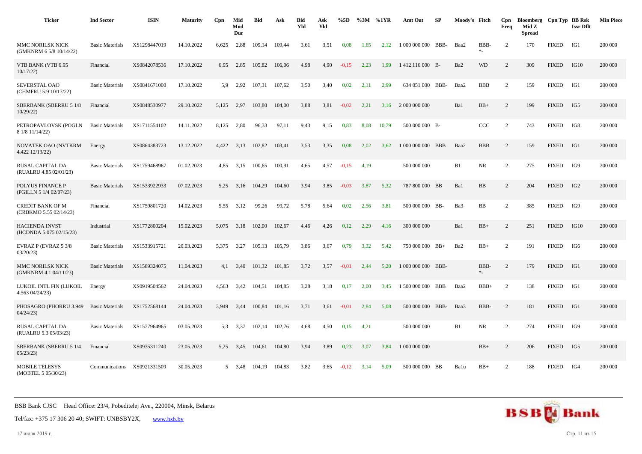| <b>Ticker</b>                                      | <b>Ind Sector</b>      | <b>ISIN</b>  | <b>Maturity</b> | Cpn         | Mid<br>Mod<br>Dur | <b>Bid</b> | Ask    | <b>Bid</b><br>Yld | Ask<br>Yld | %5D     |      | %3M %1YR | Amt Out          | SP         | Moody's Fitch   |                  | Cpn<br>Freq    | Bloomberg Cpn Typ BB Rsk<br>Mid Z<br><b>Spread</b> |              | <b>Issr Dflt</b> | <b>Min Piece</b> |
|----------------------------------------------------|------------------------|--------------|-----------------|-------------|-------------------|------------|--------|-------------------|------------|---------|------|----------|------------------|------------|-----------------|------------------|----------------|----------------------------------------------------|--------------|------------------|------------------|
| <b>MMC NORILSK NICK</b><br>(GMKNRM 6 5/8 10/14/22) | <b>Basic Materials</b> | XS1298447019 | 14.10.2022      | 6,625       | 2,88              | 109,14     | 109.44 | 3,61              | 3,51       | 0.08    | 1,65 | 2,12     | 1 000 000 000    | BBB-       | Baa2            | BBB-<br>$\ast_-$ | 2              | 170                                                | <b>FIXED</b> | IG1              | 200 000          |
| VTB BANK (VTB 6.95<br>10/17/22                     | Financial              | XS0842078536 | 17.10.2022      | 6.95        | 2,85              | 105,82     | 106.06 | 4,98              | 4,90       | $-0.15$ | 2,23 | 1.99     | 1412 116 000 B-  |            | Ba <sub>2</sub> | <b>WD</b>        | $\overline{2}$ | 309                                                | <b>FIXED</b> | IG10             | 200 000          |
| SEVERSTAL OAO<br>(CHMFRU 5.9 10/17/22)             | <b>Basic Materials</b> | XS0841671000 | 17.10.2022      | 5.9         | 2,92              | 107,31     | 107,62 | 3,50              | 3,40       | 0,02    | 2,11 | 2,99     | 634 051 000 BBB- |            | Baa2            | <b>BBB</b>       | 2              | 159                                                | <b>FIXED</b> | IG1              | 200 000          |
| <b>SBERBANK (SBERRU 5 1/8</b><br>10/29/22          | Financial              | XS0848530977 | 29.10.2022      | 5,125       | 2,97              | 103,80     | 104,00 | 3,88              | 3,81       | $-0,02$ | 2.21 | 3.16     | 2 000 000 000    |            | Ba1             | $BB+$            | $\overline{c}$ | 199                                                | <b>FIXED</b> | IG5              | 200 000          |
| PETROPAVLOVSK (POGLN<br>8 1/8 11/14/22)            | <b>Basic Materials</b> | XS1711554102 | 14.11.2022      | 8,125       | 2,80              | 96,33      | 97,11  | 9,43              | 9,15       | 0,83    | 8,08 | 10,79    | 500 000 000 B-   |            |                 | CCC              | 2              | 743                                                | <b>FIXED</b> | IG8              | 200 000          |
| NOVATEK OAO (NVTKRM<br>4.422 12/13/22)             | Energy                 | XS0864383723 | 13.12.2022      | 4.422       | 3.13              | 102.82     | 103.41 | 3,53              | 3,35       | 0.08    | 2.02 | 3.62     | 1 000 000 000    | <b>BBB</b> | Baa2            | <b>BBB</b>       | $\overline{2}$ | 159                                                | <b>FIXED</b> | IG1              | 200 000          |
| RUSAL CAPITAL DA<br>(RUALRU 4.85 02/01/23)         | <b>Basic Materials</b> | XS1759468967 | 01.02.2023      | 4,85        | 3,15              | 100,65     | 100,91 | 4,65              | 4,57       | $-0,15$ | 4,19 |          | 500 000 000      |            | B1              | NR               | $\overline{c}$ | 275                                                | <b>FIXED</b> | IG9              | 200 000          |
| POLYUS FINANCE P<br>(PGILLN 5 1/4 02/07/23)        | <b>Basic Materials</b> | XS1533922933 | 07.02.2023      | 5,25        | 3,16              | 104,29     | 104,60 | 3,94              | 3,85       | $-0.03$ | 3,87 | 5,32     | 787 800 000 BB   |            | Ba1             | BB               | 2              | 204                                                | <b>FIXED</b> | IG <sub>2</sub>  | 200 000          |
| <b>CREDIT BANK OF M</b><br>(CRBKMO 5.55 02/14/23)  | Financial              | XS1759801720 | 14.02.2023      | 5,55        | 3,12              | 99,26      | 99,72  | 5,78              | 5,64       | 0,02    | 2,56 | 3,81     | 500 000 000 BB-  |            | Ba3             | BB               | $\overline{c}$ | 385                                                | <b>FIXED</b> | IG9              | 200 000          |
| <b>HACIENDA INVST</b><br>(HCDNDA 5.075 02/15/23)   | Industrial             | XS1772800204 | 15.02.2023      | 5,075       | 3,18              | 102,00     | 102,67 | 4,46              | 4,26       | 0,12    | 2,29 | 4,16     | 300 000 000      |            | Ba1             | $BB+$            | $\overline{c}$ | 251                                                | <b>FIXED</b> | IG10             | 200 000          |
| EVRAZ P (EVRAZ 5 3/8<br>03/20/23                   | <b>Basic Materials</b> | XS1533915721 | 20.03.2023      | 5,375       | 3,27              | 105,13     | 105,79 | 3,86              | 3,67       | 0,79    | 3,32 | 5,42     | 750 000 000 BB+  |            | Ba2             | $BB+$            | 2              | 191                                                | <b>FIXED</b> | IG <sub>6</sub>  | 200 000          |
| MMC NORILSK NICK<br>(GMKNRM 4.1 04/11/23)          | <b>Basic Materials</b> | XS1589324075 | 11.04.2023      | 4,1         | 3,40              | 101,32     | 101,85 | 3,72              | 3,57       | $-0.01$ | 2,44 | 5,20     | 1 000 000 000    | BBB-       |                 | BBB-<br>$\ast_-$ | $\overline{2}$ | 179                                                | <b>FIXED</b> | IG1              | 200 000          |
| LUKOIL INTL FIN (LUKOIL<br>4.563 04/24/23)         | Energy                 | XS0919504562 | 24.04.2023      | 4,563       | 3,42              | 104,51     | 104,85 | 3,28              | 3,18       | 0,17    | 2,00 | 3,45     | 1 500 000 000    | BBB        | Baa2            | $BBB+$           | 2              | 138                                                | <b>FIXED</b> | IG1              | 200 000          |
| PHOSAGRO (PHORRU 3.949<br>04/24/23                 | <b>Basic Materials</b> | XS1752568144 | 24.04.2023      | 3,949       | 3,44              | 100,84     | 101,16 | 3,71              | 3,61       | $-0,01$ | 2,84 | 5,08     | 500 000 000 BBB- |            | Baa3            | BBB-             | $\overline{c}$ | 181                                                | <b>FIXED</b> | IG1              | 200 000          |
| RUSAL CAPITAL DA<br>(RUALRU 5.3 05/03/23)          | <b>Basic Materials</b> | XS1577964965 | 03.05.2023      | 5.3         | 3,37              | 102,14     | 102,76 | 4,68              | 4,50       | 0,15    | 4,21 |          | 500 000 000      |            | B1              | NR               | $\overline{c}$ | 274                                                | <b>FIXED</b> | IG9              | 200 000          |
| SBERBANK (SBERRU 5 1/4<br>05/23/23                 | Financial              | XS0935311240 | 23.05.2023      | 5,25        | 3,45              | 104,61     | 104,80 | 3,94              | 3,89       | 0,23    | 3,07 | 3,84     | 1 000 000 000    |            |                 | $BB+$            | $\overline{c}$ | 206                                                | <b>FIXED</b> | IG5              | 200 000          |
| <b>MOBILE TELESYS</b><br>(MOBTEL 5 05/30/23)       | Communications         | XS0921331509 | 30.05.2023      | $5^{\circ}$ | 3,48              | 104,19     | 104,83 | 3,82              | 3,65       | $-0,12$ | 3,14 | 5,09     | 500 000 000 BB   |            | Balu            | $BB+$            | $\overline{c}$ | 188                                                | <b>FIXED</b> | IG4              | 200 000          |



17 июля 2019 г. Стр. 11 из 15

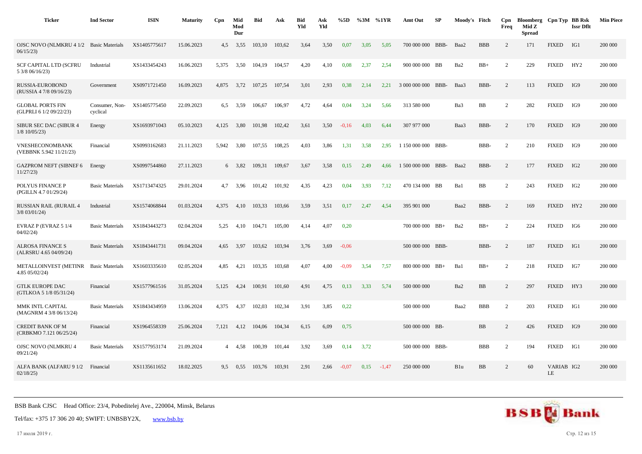| <b>Ticker</b>                                       | <b>Ind Sector</b>          | <b>ISIN</b>  | <b>Maturity</b> | Cpn            | Mid<br>Mod<br>Dur | <b>Bid</b> | Ask    | <b>Bid</b><br>Yld | Ask<br>Yld | %5D     | %3M  | %1YR    | Amt Out            | SP   | Moody's Fitch |             | Cpn<br>Freq    | Bloomberg Cpn Typ BB Rsk<br>Mid Z<br><b>Spread</b> |                  | <b>Issr Dflt</b> | <b>Min Piece</b> |
|-----------------------------------------------------|----------------------------|--------------|-----------------|----------------|-------------------|------------|--------|-------------------|------------|---------|------|---------|--------------------|------|---------------|-------------|----------------|----------------------------------------------------|------------------|------------------|------------------|
| OJSC NOVO (NLMKRU 4 1/2 Basic Materials<br>06/15/23 |                            | XS1405775617 | 15.06.2023      | 4,5            | 3,55              | 103,10     | 103,62 | 3,64              | 3,50       | 0.07    | 3,05 | 5,05    | 700 000 000        | BBB- | Baa2          | <b>BBB</b>  | $\overline{c}$ | 171                                                | <b>FIXED</b>     | IG1              | 200 000          |
| <b>SCF CAPITAL LTD (SCFRU</b><br>5 3/8 06/16/23)    | Industrial                 | XS1433454243 | 16.06.2023      | 5.375          | 3,50              | 104.19     | 104,57 | 4,20              | 4,10       | 0,08    | 2,37 | 2,54    | 900 000 000 BB     |      | Ba2           | $BB+$       | 2              | 229                                                | <b>FIXED</b>     | HY2              | 200 000          |
| RUSSIA-EUROBOND<br>(RUSSIA 4 7/8 09/16/23)          | Government                 | XS0971721450 | 16.09.2023      | 4,875          | 3,72              | 107,25     | 107,54 | 3,01              | 2,93       | 0,38    | 2,14 | 2,21    | 3 000 000 000 BBB- |      | Baa3          | BBB-        | 2              | 113                                                | <b>FIXED</b>     | IG9              | 200 000          |
| <b>GLOBAL PORTS FIN</b><br>(GLPRLI 6 1/2 09/22/23)  | Consumer, Non-<br>cyclical | XS1405775450 | 22.09.2023      | 6,5            | 3,59              | 106,67     | 106,97 | 4,72              | 4,64       | 0,04    | 3,24 | 5,66    | 313 580 000        |      | Ba3           | $_{\rm BB}$ | $\overline{2}$ | 282                                                | <b>FIXED</b>     | IG9              | 200 000          |
| SIBUR SEC DAC (SIBUR 4<br>$1/8$ 10/05/23)           | Energy                     | XS1693971043 | 05.10.2023      | 4,125          | 3,80              | 101,98     | 102,42 | 3,61              | 3,50       | $-0,16$ | 4,03 | 6,44    | 307 977 000        |      | Baa3          | BBB-        | 2              | 170                                                | <b>FIXED</b>     | IG9              | 200 000          |
| VNESHECONOMBANK<br>(VEBBNK 5.942 11/21/23)          | Financial                  | XS0993162683 | 21.11.2023      | 5,942          | 3,80              | 107,55     | 108,25 | 4,03              | 3,86       | 1,31    | 3,58 | 2,95    | 1 150 000 000 BBB- |      |               | BBB-        | 2              | 210                                                | <b>FIXED</b>     | IG9              | 200 000          |
| <b>GAZPROM NEFT (SIBNEF 6</b><br>11/27/23           | Energy                     | XS0997544860 | 27.11.2023      |                | 6 3,82            | 109.31     | 109.67 | 3.67              | 3,58       | 0,15    | 2,49 | 4.66    | 1 500 000 000      | BBB- | Baa2          | BBB-        | 2              | 177                                                | <b>FIXED</b>     | IG2              | 200 000          |
| POLYUS FINANCE P<br>(PGILLN 4.7 01/29/24)           | <b>Basic Materials</b>     | XS1713474325 | 29.01.2024      | 4,7            | 3.96              | 101.42     | 101,92 | 4,35              | 4,23       | 0,04    | 3,93 | 7,12    | 470 134 000 BB     |      | Ba1           | <b>BB</b>   | $\overline{c}$ | 243                                                | <b>FIXED</b>     | IG <sub>2</sub>  | 200 000          |
| <b>RUSSIAN RAIL (RURAIL 4</b><br>$3/8$ 03/01/24)    | Industrial                 | XS1574068844 | 01.03.2024      | 4,375          | 4,10              | 103,33     | 103,66 | 3,59              | 3,51       | 0,17    | 2,47 | 4,54    | 395 901 000        |      | Baa2          | BBB-        | 2              | 169                                                | <b>FIXED</b>     | HY2              | 200 000          |
| EVRAZ P (EVRAZ 5 1/4<br>04/02/24                    | <b>Basic Materials</b>     | XS1843443273 | 02.04.2024      | 5,25           | 4,10              | 104,71     | 105,00 | 4,14              | 4,07       | 0,20    |      |         | 700 000 000 BB+    |      | Ba2           | $BB+$       | 2              | 224                                                | <b>FIXED</b>     | IG6              | 200 000          |
| <b>ALROSA FINANCE S</b><br>(ALRSRU 4.65 04/09/24)   | <b>Basic Materials</b>     | XS1843441731 | 09.04.2024      | 4,65           | 3,97              | 103,62     | 103,94 | 3,76              | 3,69       | $-0.06$ |      |         | 500 000 000 BBB-   |      |               | BBB-        | 2              | 187                                                | <b>FIXED</b>     | IG1              | 200 000          |
| <b>METALLOINVEST (METINR</b><br>4.85 05/02/24)      | <b>Basic Materials</b>     | XS1603335610 | 02.05.2024      | 4,85           | 4,21              | 103,35     | 103,68 | 4,07              | 4,00       | $-0.09$ | 3,54 | 7,57    | 800 000 000 BB+    |      | Ba1           | $BB+$       | $\overline{c}$ | 218                                                | <b>FIXED</b>     | IG7              | 200 000          |
| <b>GTLK EUROPE DAC</b><br>(GTLKOA 5 1/8 05/31/24)   | Financial                  | XS1577961516 | 31.05.2024      | 5.125          | 4.24              | 100.91     | 101.60 | 4.91              | 4,75       | 0.13    | 3,33 | 5.74    | 500 000 000        |      | Ba2           | <b>BB</b>   | 2              | 297                                                | <b>FIXED</b>     | HY3              | 200 000          |
| MMK INTL CAPITAL<br>(MAGNRM 4 3/8 06/13/24)         | <b>Basic Materials</b>     | XS1843434959 | 13.06.2024      | 4.375          | 4,37              | 102,03     | 102,34 | 3,91              | 3,85       | 0,22    |      |         | 500 000 000        |      | Baa2          | <b>BBB</b>  | $\overline{2}$ | 203                                                | <b>FIXED</b>     | IG1              | 200 000          |
| <b>CREDIT BANK OF M</b><br>(CRBKMO 7.121 06/25/24)  | Financial                  | XS1964558339 | 25.06.2024      | 7,121          | 4,12              | 104,06     | 104,34 | 6,15              | 6,09       | 0,75    |      |         | 500 000 000 BB-    |      |               | <b>BB</b>   | 2              | 426                                                | <b>FIXED</b>     | IG9              | 200 000          |
| OJSC NOVO (NLMKRU 4<br>09/21/24                     | <b>Basic Materials</b>     | XS1577953174 | 21.09.2024      | $\overline{4}$ | 4,58              | 100,39     | 101,44 | 3,92              | 3,69       | 0,14    | 3,72 |         | 500 000 000 BBB-   |      |               | <b>BBB</b>  | 2              | 194                                                | <b>FIXED</b>     | IG1              | 200 000          |
| ALFA BANK (ALFARU 9 1/2 Financial<br>02/18/25       |                            | XS1135611652 | 18.02.2025      | 9,5            | 0.55              | 103,76     | 103,91 | 2,91              | 2,66       | $-0.07$ | 0,15 | $-1,47$ | 250 000 000        |      | B1u           | BB          | $\overline{c}$ | 60                                                 | VARIAB IG2<br>LE |                  | 200 000          |



17 июля 2019 г. Стр. 12 из 15

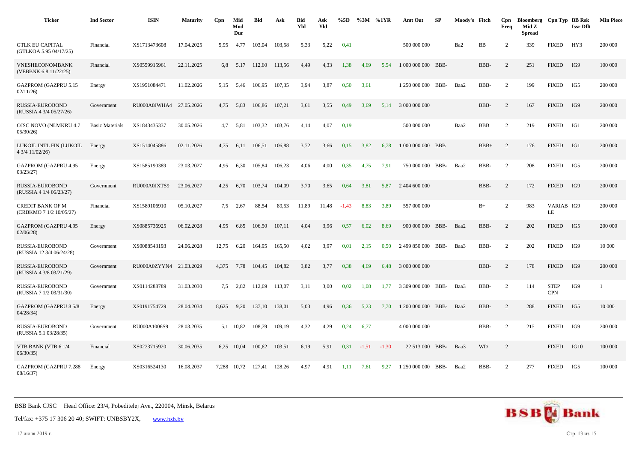| <b>Ticker</b>                                      | <b>Ind Sector</b>      | <b>ISIN</b>             | <b>Maturity</b> | Cpn   | Mid<br>Mod<br>Dur | <b>Bid</b> | Ask    | <b>Bid</b><br>Yld | Ask<br>Yld | %5D     |         | %3M %1YR | Amt Out            | SP   | Moody's Fitch |            | Cpn<br>Freq    | Bloomberg Cpn Typ BB Rsk<br>Mid Z<br><b>Spread</b> |                           | <b>Issr Dflt</b> | <b>Min Piece</b> |
|----------------------------------------------------|------------------------|-------------------------|-----------------|-------|-------------------|------------|--------|-------------------|------------|---------|---------|----------|--------------------|------|---------------|------------|----------------|----------------------------------------------------|---------------------------|------------------|------------------|
| <b>GTLK EU CAPITAL</b><br>(GTLKOA 5.95 04/17/25)   | Financial              | XS1713473608            | 17.04.2025      | 5,95  | 4,77              | 103,04     | 103,58 | 5,33              | 5,22       | 0,41    |         |          | 500 000 000        |      | Ba2           | <b>BB</b>  | $\overline{2}$ | 339                                                | <b>FIXED</b>              | HY3              | 200 000          |
| VNESHECONOMBANK<br>(VEBBNK 6.8 11/22/25)           | Financial              | XS0559915961            | 22.11.2025      | 6,8   | 5,17              | 112,60     | 113,56 | 4,49              | 4,33       | 1,38    | 4,69    | 5,54     | 1 000 000 000 BBB- |      |               | BBB-       | 2              | 251                                                | <b>FIXED</b>              | IG9              | 100 000          |
| <b>GAZPROM (GAZPRU 5.15</b><br>02/11/26            | Energy                 | XS1951084471            | 11.02.2026      | 5,15  | 5,46              | 106,95     | 107,35 | 3,94              | 3,87       | 0,50    | 3,61    |          | 1 250 000 000 BBB- |      | Baa2          | BBB-       | $\overline{2}$ | 199                                                | <b>FIXED</b>              | IG5              | 200 000          |
| RUSSIA-EUROBOND<br>(RUSSIA 4 3/4 05/27/26)         | Government             | RU000A0JWHA4 27.05.2026 |                 | 4,75  | 5,83              | 106,86     | 107,21 | 3,61              | 3,55       | 0,49    | 3,69    | 5,14     | 3 000 000 000      |      |               | BBB-       | 2              | 167                                                | <b>FIXED</b>              | IG9              | 200 000          |
| <b>OJSC NOVO (NLMKRU 4.7</b><br>05/30/26           | <b>Basic Materials</b> | XS1843435337            | 30.05.2026      | 4,7   | 5,81              | 103,32     | 103,76 | 4,14              | 4,07       | 0,19    |         |          | 500 000 000        |      | Baa2          | <b>BBB</b> | 2              | 219                                                | <b>FIXED</b>              | IG1              | 200 000          |
| LUKOIL INTL FIN (LUKOIL<br>4 3/4 11/02/26)         | Energy                 | XS1514045886            | 02.11.2026      | 4,75  | 6,11              | 106,51     | 106,88 | 3,72              | 3,66       | 0,15    | 3,82    | 6,78     | 1 000 000 000 BBB  |      |               | $BBB+$     | 2              | 176                                                | <b>FIXED</b>              | IG1              | 200 000          |
| <b>GAZPROM (GAZPRU 4.95</b><br>03/23/27            | Energy                 | XS1585190389            | 23.03.2027      | 4.95  | 6.30              | 105,84     | 106.23 | 4.06              | 4,00       | 0,35    | 4.75    | 7.91     | 750 000 000 BBB-   |      | Baa2          | BBB-       | 2              | 208                                                | <b>FIXED</b>              | IG5              | 200 000          |
| RUSSIA-EUROBOND<br>(RUSSIA 4 1/4 06/23/27)         | Government             | RU000A0JXTS9            | 23.06.2027      | 4,25  | 6,70              | 103,74     | 104,09 | 3,70              | 3,65       | 0,64    | 3,81    | 5,87     | 2 404 600 000      |      |               | BBB-       | 2              | 172                                                | <b>FIXED</b>              | IG9              | 200 000          |
| <b>CREDIT BANK OF M</b><br>(CRBKMO 7 1/2 10/05/27) | Financial              | XS1589106910            | 05.10.2027      | 7,5   | 2,67              | 88,54      | 89,53  | 11,89             | 11,48      | $-1,43$ | 8,83    | 3,89     | 557 000 000        |      |               | $B+$       | $\overline{c}$ | 983                                                | VARIAB IG9<br>LE          |                  | 200 000          |
| <b>GAZPROM (GAZPRU 4.95</b><br>02/06/28            | Energy                 | XS0885736925            | 06.02.2028      | 4,95  | 6,85              | 106.50     | 107.11 | 4,04              | 3,96       | 0,57    | 6,02    | 8.69     | 900 000 000 BBB-   |      | Baa2          | BBB-       | 2              | 202                                                | <b>FIXED</b>              | IG5              | 200 000          |
| RUSSIA-EUROBOND<br>(RUSSIA 12 3/4 06/24/28)        | Government             | XS0088543193            | 24.06.2028      | 12,75 | 6,20              | 164,95     | 165,50 | 4,02              | 3,97       | 0,01    | 2,15    | 0,50     | 2 499 850 000      | BBB- | Baa3          | BBB-       | 2              | 202                                                | <b>FIXED</b>              | IG9              | 10 000           |
| RUSSIA-EUROBOND<br>(RUSSIA 4 3/8 03/21/29)         | Government             | RU000A0ZYYN4 21.03.2029 |                 | 4.375 | 7,78              | 104,45     | 104,82 | 3,82              | 3,77       | 0,38    | 4,69    | 6.48     | 3 000 000 000      |      |               | BBB-       | 2              | 178                                                | <b>FIXED</b>              | IG9              | 200 000          |
| RUSSIA-EUROBOND<br>(RUSSIA 7 1/2 03/31/30)         | Government             | XS0114288789            | 31.03.2030      | 7,5   | 2,82              | 112,69     | 113,07 | 3,11              | 3,00       | 0,02    | 1,08    | 1.77     | 3 309 000 000      | BBB- | Baa3          | BBB-       | 2              | 114                                                | <b>STEP</b><br><b>CPN</b> | IG9              |                  |
| <b>GAZPROM (GAZPRU 8 5/8</b><br>04/28/34           | Energy                 | XS0191754729            | 28.04.2034      | 8,625 | 9,20              | 137,10     | 138,01 | 5,03              | 4,96       | 0,36    | 5,23    | 7.70     | 1 200 000 000 BBB- |      | Baa2          | BBB-       | $\overline{2}$ | 288                                                | <b>FIXED</b>              | IG5              | 10 000           |
| RUSSIA-EUROBOND<br>(RUSSIA 5.1 03/28/35)           | Government             | RU000A1006S9            | 28.03.2035      |       | 5,1 10,82         | 108,79     | 109,19 | 4,32              | 4,29       | 0,24    | 6,77    |          | 4 000 000 000      |      |               | BBB-       | 2              | 215                                                | <b>FIXED</b>              | IG9              | 200 000          |
| VTB BANK (VTB 6 1/4<br>06/30/35                    | Financial              | XS0223715920            | 30.06.2035      |       | 6,25 10,04        | 100,62     | 103,51 | 6,19              | 5,91       | 0,31    | $-1,51$ | $-1,30$  | 22 513 000 BBB-    |      | Baa3          | <b>WD</b>  | 2              |                                                    | <b>FIXED</b>              | IG10             | 100 000          |
| <b>GAZPROM (GAZPRU 7.288</b><br>08/16/37           | Energy                 | XS0316524130            | 16.08.2037      | 7.288 | 10,72             | 127,41     | 128,26 | 4.97              | 4,91       | 1,11    | 7.61    | 9.27     | 1 250 000 000      | BBB- | Baa2          | BBB-       | $\overline{2}$ | 277                                                | <b>FIXED</b>              | IG5              | 100 000          |

Tel/fax: +375 17 306 20 40; SWIFT: UNBSBY2X, [www.bsb.by](https://www.bsb.by/)

17 июля 2019 г. Стр. 13 из 15

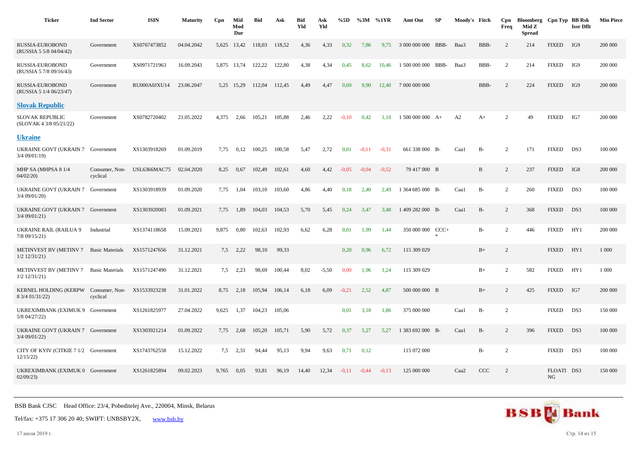| <b>Ticker</b>                                                | <b>Ind Sector</b>          | <b>ISIN</b>         | <b>Maturity</b> | Cpn   | Mid<br>Mod<br>Dur | <b>Bid</b> | Ask    | <b>Bid</b><br>Yld | Ask<br>Yld | %5D     | %3M     | %1YR    | Amt Out          | SP   | Moody's Fitch    |              | Cpn<br>Freq    | Bloomberg Cpn Typ BB Rsk<br>Mid Z<br><b>Spread</b> |                  | <b>Issr Dflt</b> | <b>Min Piece</b> |
|--------------------------------------------------------------|----------------------------|---------------------|-----------------|-------|-------------------|------------|--------|-------------------|------------|---------|---------|---------|------------------|------|------------------|--------------|----------------|----------------------------------------------------|------------------|------------------|------------------|
| RUSSIA-EUROBOND<br>(RUSSIA 5 5/8 04/04/42)                   | Government                 | XS0767473852        | 04.04.2042      | 5,625 | 13,42             | 118,03     | 118,52 | 4,36              | 4,33       | 0,32    | 7,86    | 9,75    | 3 000 000 000    | BBB- | Baa3             | BBB-         | 2              | 214                                                | <b>FIXED</b>     | IG9              | 200 000          |
| RUSSIA-EUROBOND<br>(RUSSIA 5 7/8 09/16/43)                   | Government                 | XS0971721963        | 16.09.2043      |       | 5,875 13,74       | 122,22     | 122,80 | 4,38              | 4,34       | 0,45    | 8,62    | 10.46   | 1 500 000 000    | BBB- | Baa3             | BBB-         | 2              | 214                                                | <b>FIXED</b>     | IG9              | 200 000          |
| <b>RUSSIA-EUROBOND</b><br>(RUSSIA 5 1/4 06/23/47)            | Government                 | RU000A0JXU14        | 23.06.2047      |       | 5,25 15,29        | 112,04     | 112,45 | 4,49              | 4,47       | 0,69    | 9,90    | 12,40   | 7 000 000 000    |      |                  | BBB-         | 2              | 224                                                | <b>FIXED</b>     | IG9              | 200 000          |
| <b>Slovak Republic</b>                                       |                            |                     |                 |       |                   |            |        |                   |            |         |         |         |                  |      |                  |              |                |                                                    |                  |                  |                  |
| <b>SLOVAK REPUBLIC</b><br>(SLOVAK 4 3/8 05/21/22)            | Government                 | XS0782720402        | 21.05.2022      | 4.375 | 2,66              | 105,21     | 105,88 | 2,46              | 2,22       | $-0.10$ | 0,42    | 1,10    | $1500000000A+$   |      | A2               | $A+$         | 2              | 49                                                 | <b>FIXED</b>     | IG7              | 200 000          |
| <b>Ukraine</b>                                               |                            |                     |                 |       |                   |            |        |                   |            |         |         |         |                  |      |                  |              |                |                                                    |                  |                  |                  |
| UKRAINE GOVT (UKRAIN 7 Government<br>3/4 09/01/19)           |                            | XS1303918269        | 01.09.2019      | 7.75  | 0,12              | 100,25     | 100,58 | 5,47              | 2,72       | 0,01    | $-0,11$ | $-0,31$ | 661 338 000 B-   |      | Caa1             | $B-$         | 2              | 171                                                | <b>FIXED</b>     | DS3              | 100 000          |
| MHP SA (MHPSA 8 1/4<br>04/02/20                              | Consumer, Non-<br>cyclical | <b>USL6366MAC75</b> | 02.04.2020      | 8,25  | 0,67              | 102,49     | 102,61 | 4,60              | 4,42       | $-0.05$ | $-0.04$ | $-0.52$ | 79 417 000 B     |      |                  | $\, {\bf B}$ | 2              | 237                                                | <b>FIXED</b>     | IG8              | 200 000          |
| UKRAINE GOVT (UKRAIN 7 Government<br>3/4 09/01/20)           |                            | XS1303918939        | 01.09.2020      | 7,75  | 1,04              | 103,10     | 103,60 | 4,86              | 4,40       | 0,18    | 2,40    | 2,49    | 1 364 685 000 B- |      | Caa1             | $B-$         | 2              | 260                                                | <b>FIXED</b>     | DS3              | 100 000          |
| UKRAINE GOVT (UKRAIN 7 Government<br>3/4 09/01/21)           |                            | XS1303920083        | 01.09.2021      | 7,75  | 1,89              | 104,03     | 104,53 | 5,70              | 5,45       | 0,24    | 3,47    | 3,48    | 1 409 282 000 B- |      | Caa1             | $B-$         | 2              | 368                                                | <b>FIXED</b>     | DS3              | 100 000          |
| <b>UKRAINE RAIL (RAILUA 9</b><br>7/8 09/15/21)               | Industrial                 | XS1374118658        | 15.09.2021      | 9,875 | 0,80              | 102,63     | 102,93 | 6,62              | 6,28       | 0,01    | 1,99    | 1,44    | 350 000 000 CCC+ |      |                  | $B-$         | 2              | 446                                                | <b>FIXED</b>     | HY1              | 200 000          |
| METINVEST BV (METINV 7 Basic Materials<br>$1/2$ $12/31/21$ ) |                            | XS1571247656        | 31.12.2021      | 7,5   | 2,22              | 98,10      | 99,33  |                   |            | 0,20    | 0,96    | 6,72    | 115 309 029      |      |                  | $B+$         | $\overline{c}$ |                                                    | <b>FIXED</b>     | HY1              | 1 0 0 0          |
| METINVEST BV (METINV 7 Basic Materials<br>$1/2$ 12/31/21)    |                            | XS1571247490        | 31.12.2021      | 7,5   | 2,23              | 98,69      | 100,44 | 8,02              | $-5,50$    | 0.00    | 1,96    | 1,24    | 115 309 029      |      |                  | $B+$         | 2              | 582                                                | <b>FIXED</b>     | HY1              | 1 000            |
| <b>KERNEL HOLDING (KERPW</b><br>8 3/4 01/31/22)              | Consumer, Non-<br>cyclical | XS1533923238        | 31.01.2022      | 8,75  | 2,18              | 105,94     | 106,14 | 6,18              | 6,09       | $-0,21$ | 2,52    | 4,87    | 500 000 000 B    |      |                  | $B+$         | $\overline{2}$ | 425                                                | <b>FIXED</b>     | IG7              | 200 000          |
| UKREXIMBANK (EXIMUK 9 Government<br>5/8 04/27/22)            |                            | XS1261825977        | 27.04.2022      | 9,625 | 1,37              | 104,23     | 105,06 |                   |            | 0,01    | 3,18    | 1,86    | 375 000 000      |      | Caa1             | $B-$         | 2              |                                                    | <b>FIXED</b>     | DS3              | 150 000          |
| UKRAINE GOVT (UKRAIN 7 Government<br>$3/4$ 09/01/22)         |                            | XS1303921214        | 01.09.2022      | 7,75  | 2,68              | 105,20     | 105,71 | 5,90              | 5,72       | 0,37    | 5,27    | 5,27    | 1 383 692 000 B- |      | Caa1             | $B-$         | 2              | 396                                                | <b>FIXED</b>     | DS3              | 100 000          |
| CITY OF KYIV (CITKIE 7 1/2 Government<br>12/15/22            |                            | XS1743762558        | 15.12.2022      | 7,5   | 2,31              | 94,44      | 95,13  | 9,94              | 9,63       | 0,71    | 0,12    |         | 115 072 000      |      |                  | $B-$         | 2              |                                                    | <b>FIXED</b>     | DS3              | 100 000          |
| UKREXIMBANK (EXIMUK 0 Government<br>02/09/23                 |                            | XS1261825894        | 09.02.2023      | 9.765 | 0.05              | 93,81      | 96,19  | 14,40             | 12,34      | $-0.11$ | $-0,44$ | $-0.13$ | 125 000 000      |      | Caa <sub>2</sub> | CCC          | 2              |                                                    | FLOATI DS3<br>NG |                  | 150 000          |



17 июля 2019 г. Стр. 14 из 15